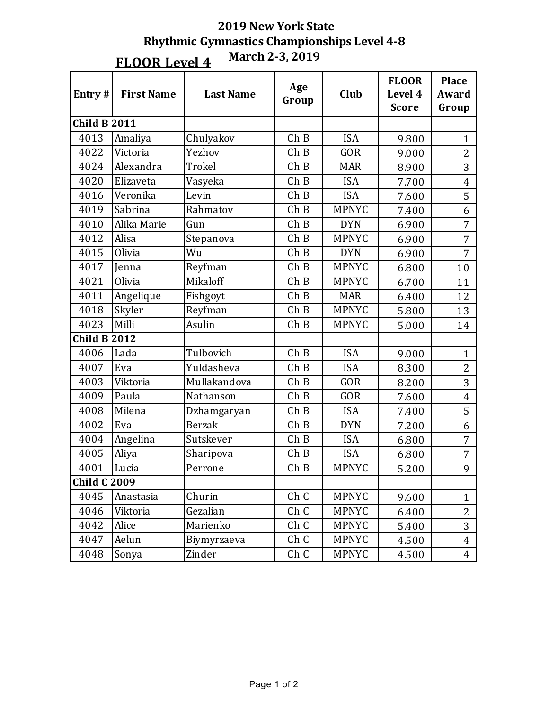| Entry#              | <b>First Name</b> | <b>Last Name</b> | Age<br>Group | Club         | <b>FLOOR</b><br>Level 4<br><b>Score</b> | <b>Place</b><br>Award<br>Group |
|---------------------|-------------------|------------------|--------------|--------------|-----------------------------------------|--------------------------------|
| <b>Child B 2011</b> |                   |                  |              |              |                                         |                                |
| 4013                | Amaliya           | Chulyakov        | ChB          | <b>ISA</b>   | 9.800                                   | $\mathbf{1}$                   |
| 4022                | Victoria          | Yezhov           | ChB          | <b>GOR</b>   | 9.000                                   | $\overline{2}$                 |
| 4024                | Alexandra         | Trokel           | ChB          | <b>MAR</b>   | 8.900                                   | 3                              |
| 4020                | Elizaveta         | Vasyeka          | ChB          | <b>ISA</b>   | 7.700                                   | $\overline{4}$                 |
| 4016                | Veronika          | Levin            | ChB          | <b>ISA</b>   | 7.600                                   | 5                              |
| 4019                | Sabrina           | Rahmatov         | ChB          | <b>MPNYC</b> | 7.400                                   | 6                              |
| 4010                | Alika Marie       | Gun              | ChB          | <b>DYN</b>   | 6.900                                   | $\overline{7}$                 |
| 4012                | Alisa             | Stepanova        | ChB          | <b>MPNYC</b> | 6.900                                   | 7                              |
| 4015                | Olivia            | Wu               | ChB          | <b>DYN</b>   | 6.900                                   | $\overline{7}$                 |
| 4017                | Jenna             | Reyfman          | ChB          | <b>MPNYC</b> | 6.800                                   | 10                             |
| 4021                | Olivia            | Mikaloff         | ChB          | <b>MPNYC</b> | 6.700                                   | 11                             |
| 4011                | Angelique         | Fishgoyt         | ChB          | <b>MAR</b>   | 6.400                                   | 12                             |
| 4018                | Skyler            | Reyfman          | ChB          | <b>MPNYC</b> | 5.800                                   | 13                             |
| 4023                | Milli             | Asulin           | ChB          | <b>MPNYC</b> | 5.000                                   | 14                             |
| <b>Child B 2012</b> |                   |                  |              |              |                                         |                                |
| 4006                | Lada              | Tulbovich        | ChB          | <b>ISA</b>   | 9.000                                   | $\mathbf{1}$                   |
| 4007                | Eva               | Yuldasheva       | ChB          | <b>ISA</b>   | 8.300                                   | $\overline{2}$                 |
| 4003                | Viktoria          | Mullakandova     | ChB          | <b>GOR</b>   | 8.200                                   | 3                              |
| 4009                | Paula             | Nathanson        | ChB          | <b>GOR</b>   | 7.600                                   | $\overline{4}$                 |
| 4008                | Milena            | Dzhamgaryan      | ChB          | <b>ISA</b>   | 7.400                                   | 5                              |
| 4002                | Eva               | <b>Berzak</b>    | ChB          | <b>DYN</b>   | 7.200                                   | 6                              |
| 4004                | Angelina          | Sutskever        | ChB          | <b>ISA</b>   | 6.800                                   | 7                              |
| 4005                | Aliya             | Sharipova        | ChB          | <b>ISA</b>   | 6.800                                   | 7                              |
| 4001                | Lucia             | Perrone          | ChB          | <b>MPNYC</b> | 5.200                                   | 9                              |
| <b>Child C 2009</b> |                   |                  |              |              |                                         |                                |
| 4045                | Anastasia         | Churin           | Ch C         | <b>MPNYC</b> | 9.600                                   | $\mathbf{1}$                   |
| 4046                | Viktoria          | Gezalian         | Ch C         | <b>MPNYC</b> | 6.400                                   | $\overline{2}$                 |
| 4042                | Alice             | Marienko         | Ch C         | <b>MPNYC</b> | 5.400                                   | 3                              |
| 4047                | Aelun             | Biymyrzaeva      | Ch C         | <b>MPNYC</b> | 4.500                                   | $\overline{4}$                 |
| 4048                | Sonya             | Zinder           | Ch C         | <b>MPNYC</b> | 4.500                                   | $\overline{4}$                 |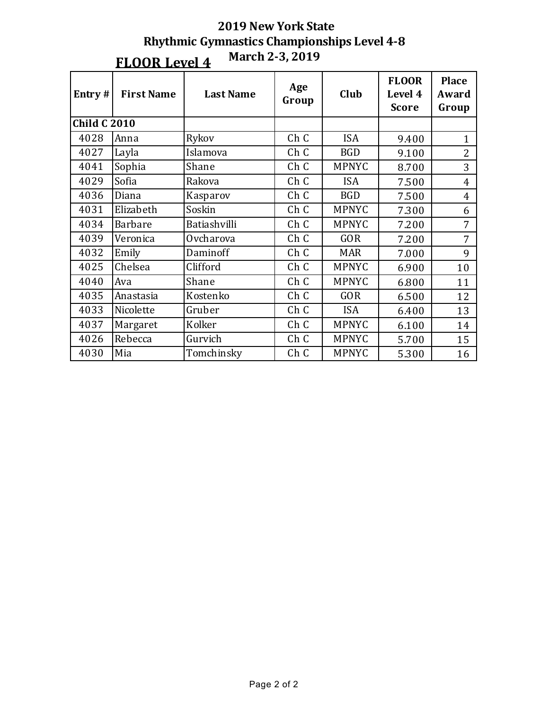| Entry $#$           | <b>First Name</b> | <b>Last Name</b> | Age<br>Group    | Club         | <b>FLOOR</b><br>Level 4<br><b>Score</b> | <b>Place</b><br>Award<br>Group |
|---------------------|-------------------|------------------|-----------------|--------------|-----------------------------------------|--------------------------------|
| <b>Child C 2010</b> |                   |                  |                 |              |                                         |                                |
| 4028                | Anna              | Rykov            | Ch C            | <b>ISA</b>   | 9.400                                   | $\mathbf{1}$                   |
| 4027                | Layla             | Islamova         | Ch C            | <b>BGD</b>   | 9.100                                   | $\overline{2}$                 |
| 4041                | Sophia            | Shane            | Ch C            | <b>MPNYC</b> | 8.700                                   | 3                              |
| 4029                | Sofia             | Rakova           | Ch C            | <b>ISA</b>   | 7.500                                   | $\overline{4}$                 |
| 4036                | Diana             | Kasparov         | Ch C            | <b>BGD</b>   | 7.500                                   | $\overline{4}$                 |
| 4031                | Elizabeth         | Soskin           | Ch C            | <b>MPNYC</b> | 7.300                                   | 6                              |
| 4034                | <b>Barbare</b>    | Batiashvilli     | Ch C            | <b>MPNYC</b> | 7.200                                   | 7                              |
| 4039                | Veronica          | Ovcharova        | Ch C            | <b>GOR</b>   | 7.200                                   | 7                              |
| 4032                | Emily             | Daminoff         | Ch C            | <b>MAR</b>   | 7.000                                   | 9                              |
| 4025                | Chelsea           | Clifford         | Ch C            | <b>MPNYC</b> | 6.900                                   | 10                             |
| 4040                | Ava               | Shane            | Ch C            | <b>MPNYC</b> | 6.800                                   | 11                             |
| 4035                | Anastasia         | Kostenko         | Ch C            | <b>GOR</b>   | 6.500                                   | 12                             |
| 4033                | Nicolette         | Gruber           | Ch C            | <b>ISA</b>   | 6.400                                   | 13                             |
| 4037                | Margaret          | Kolker           | Ch C            | <b>MPNYC</b> | 6.100                                   | 14                             |
| 4026                | Rebecca           | Gurvich          | Ch <sub>C</sub> | <b>MPNYC</b> | 5.700                                   | 15                             |
| 4030                | Mia               | Tomchinsky       | Ch C            | <b>MPNYC</b> | 5.300                                   | 16                             |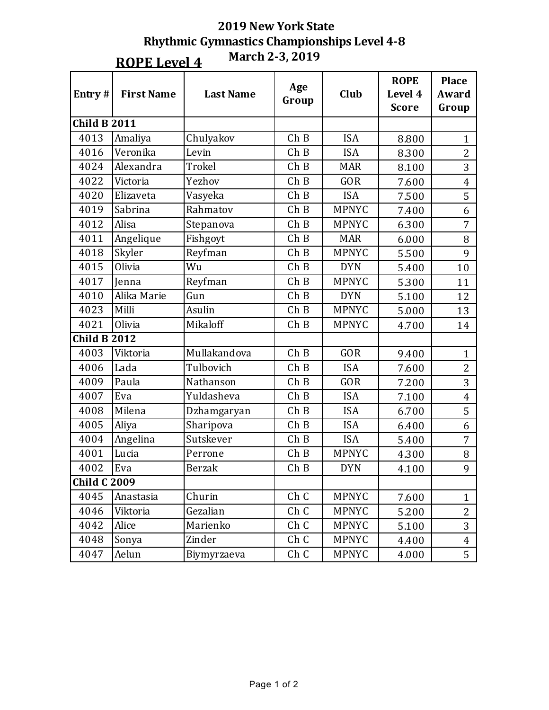**ROPE** Level 4

**March 2-3, 2019**

| Entry#              | <b>First Name</b> | <b>Last Name</b> | Age<br>Group | Club         | <b>ROPE</b><br>Level 4<br><b>Score</b> | <b>Place</b><br>Award<br>Group |
|---------------------|-------------------|------------------|--------------|--------------|----------------------------------------|--------------------------------|
| <b>Child B 2011</b> |                   |                  |              |              |                                        |                                |
| 4013                | Amaliya           | Chulyakov        | ChB          | <b>ISA</b>   | 8.800                                  | $\mathbf{1}$                   |
| 4016                | Veronika          | Levin            | ChB          | <b>ISA</b>   | 8.300                                  | $\overline{2}$                 |
| 4024                | Alexandra         | Trokel           | ChB          | <b>MAR</b>   | 8.100                                  | 3                              |
| 4022                | Victoria          | Yezhov           | ChB          | <b>GOR</b>   | 7.600                                  | $\overline{4}$                 |
| 4020                | Elizaveta         | Vasyeka          | ChB          | <b>ISA</b>   | 7.500                                  | 5                              |
| 4019                | Sabrina           | Rahmatov         | ChB          | <b>MPNYC</b> | 7.400                                  | 6                              |
| 4012                | Alisa             | Stepanova        | ChB          | <b>MPNYC</b> | 6.300                                  | $\overline{7}$                 |
| 4011                | Angelique         | Fishgoyt         | ChB          | <b>MAR</b>   | 6.000                                  | 8                              |
| 4018                | Skyler            | Reyfman          | ChB          | <b>MPNYC</b> | 5.500                                  | 9                              |
| 4015                | Olivia            | Wu               | ChB          | <b>DYN</b>   | 5.400                                  | 10                             |
| 4017                | Jenna             | Reyfman          | ChB          | <b>MPNYC</b> | 5.300                                  | 11                             |
| 4010                | Alika Marie       | Gun              | ChB          | <b>DYN</b>   | 5.100                                  | 12                             |
| 4023                | Milli             | Asulin           | ChB          | <b>MPNYC</b> | 5.000                                  | 13                             |
| 4021                | Olivia            | Mikaloff         | ChB          | <b>MPNYC</b> | 4.700                                  | 14                             |
| <b>Child B 2012</b> |                   |                  |              |              |                                        |                                |
| 4003                | Viktoria          | Mullakandova     | ChB          | <b>GOR</b>   | 9.400                                  | $\mathbf{1}$                   |
| 4006                | Lada              | Tulbovich        | ChB          | <b>ISA</b>   | 7.600                                  | $\overline{2}$                 |
| 4009                | Paula             | Nathanson        | ChB          | <b>GOR</b>   | 7.200                                  | 3                              |
| 4007                | Eva               | Yuldasheva       | ChB          | <b>ISA</b>   | 7.100                                  | $\overline{4}$                 |
| 4008                | Milena            | Dzhamgaryan      | ChB          | <b>ISA</b>   | 6.700                                  | 5                              |
| 4005                | Aliya             | Sharipova        | ChB          | <b>ISA</b>   | 6.400                                  | 6                              |
| 4004                | Angelina          | Sutskever        | ChB          | <b>ISA</b>   | 5.400                                  | $\overline{7}$                 |
| 4001                | Lucia             | Perrone          | ChB          | <b>MPNYC</b> | 4.300                                  | 8                              |
| 4002                | Eva               | <b>Berzak</b>    | ChB          | <b>DYN</b>   | 4.100                                  | 9                              |
| <b>Child C 2009</b> |                   |                  |              |              |                                        |                                |
| 4045                | Anastasia         | Churin           | Ch C         | <b>MPNYC</b> | 7.600                                  | $\mathbf{1}$                   |
| 4046                | Viktoria          | Gezalian         | Ch C         | <b>MPNYC</b> | 5.200                                  | $\overline{c}$                 |
| 4042                | Alice             | Marienko         | Ch C         | <b>MPNYC</b> | 5.100                                  | 3                              |
| 4048                | Sonya             | Zinder           | Ch C         | <b>MPNYC</b> | 4.400                                  | $\overline{4}$                 |
| 4047                | Aelun             | Biymyrzaeva      | Ch C         | <b>MPNYC</b> | 4.000                                  | 5                              |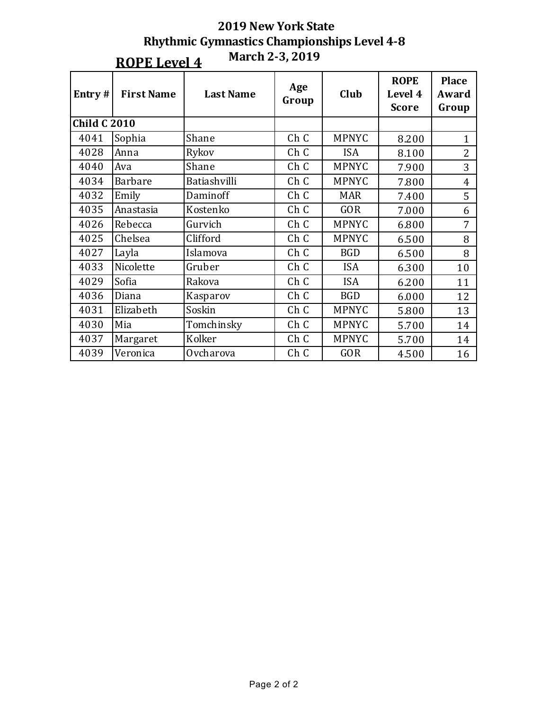|                     | <b>2019 New York State</b>                         |
|---------------------|----------------------------------------------------|
|                     | <b>Rhythmic Gymnastics Championships Level 4-8</b> |
| <b>ROPE Level 4</b> | <b>March 2-3, 2019</b>                             |

| Entry#              | <b>First Name</b> | <b>Last Name</b> | Age<br>Group | Club         | <b>ROPE</b><br>Level 4<br><b>Score</b> | <b>Place</b><br>Award<br>Group |
|---------------------|-------------------|------------------|--------------|--------------|----------------------------------------|--------------------------------|
| <b>Child C 2010</b> |                   |                  |              |              |                                        |                                |
| 4041                | Sophia            | Shane            | Ch C         | <b>MPNYC</b> | 8.200                                  | $\mathbf{1}$                   |
| 4028                | Anna              | Rykov            | Ch C         | <b>ISA</b>   | 8.100                                  | $\overline{2}$                 |
| 4040                | Ava               | Shane            | Ch C         | <b>MPNYC</b> | 7.900                                  | 3                              |
| 4034                | <b>Barbare</b>    | Batiashvilli     | Ch C         | <b>MPNYC</b> | 7.800                                  | $\overline{4}$                 |
| 4032                | Emily             | Daminoff         | Ch C         | <b>MAR</b>   | 7.400                                  | 5                              |
| 4035                | Anastasia         | Kostenko         | Ch C         | <b>GOR</b>   | 7.000                                  | 6                              |
| 4026                | Rebecca           | Gurvich          | Ch C         | <b>MPNYC</b> | 6.800                                  | 7                              |
| 4025                | Chelsea           | Clifford         | Ch C         | <b>MPNYC</b> | 6.500                                  | 8                              |
| 4027                | Layla             | Islamova         | Ch C         | <b>BGD</b>   | 6.500                                  | 8                              |
| 4033                | Nicolette         | Gruber           | Ch C         | <b>ISA</b>   | 6.300                                  | 10                             |
| 4029                | Sofia             | Rakova           | Ch C         | <b>ISA</b>   | 6.200                                  | 11                             |
| 4036                | Diana             | Kasparov         | Ch C         | <b>BGD</b>   | 6.000                                  | 12                             |
| 4031                | Elizabeth         | Soskin           | Ch C         | <b>MPNYC</b> | 5.800                                  | 13                             |
| 4030                | Mia               | Tomchinsky       | Ch C         | <b>MPNYC</b> | 5.700                                  | 14                             |
| 4037                | Margaret          | Kolker           | Ch C         | <b>MPNYC</b> | 5.700                                  | 14                             |
| 4039                | Veronica          | Ovcharova        | Ch C         | <b>GOR</b>   | 4.500                                  | 16                             |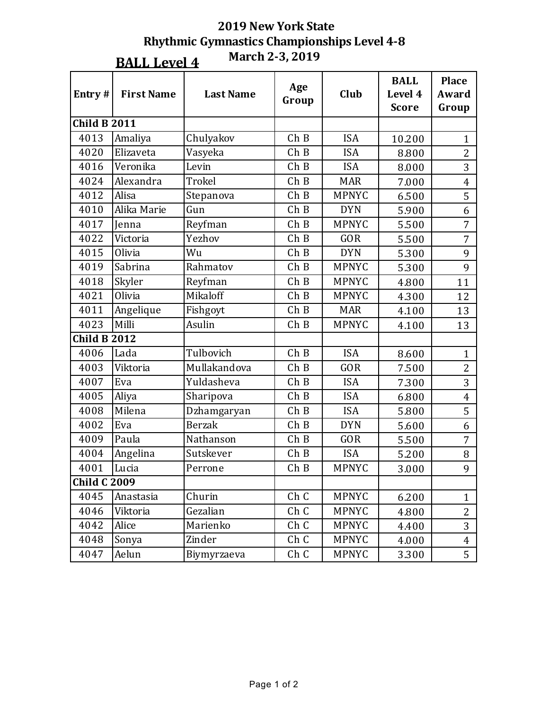**BALL Level 4** 

**March 2-3, 2019**

| Entry#              | <b>First Name</b> | <b>Last Name</b> | Age<br>Group | Club         | <b>BALL</b><br>Level 4<br><b>Score</b> | <b>Place</b><br>Award<br>Group |
|---------------------|-------------------|------------------|--------------|--------------|----------------------------------------|--------------------------------|
| <b>Child B 2011</b> |                   |                  |              |              |                                        |                                |
| 4013                | Amaliya           | Chulyakov        | ChB          | <b>ISA</b>   | 10.200                                 | $\mathbf{1}$                   |
| 4020                | Elizaveta         | Vasyeka          | ChB          | <b>ISA</b>   | 8.800                                  | $\overline{2}$                 |
| 4016                | Veronika          | Levin            | ChB          | <b>ISA</b>   | 8.000                                  | 3                              |
| 4024                | Alexandra         | Trokel           | ChB          | <b>MAR</b>   | 7.000                                  | $\overline{4}$                 |
| 4012                | Alisa             | Stepanova        | ChB          | <b>MPNYC</b> | 6.500                                  | 5                              |
| 4010                | Alika Marie       | Gun              | ChB          | <b>DYN</b>   | 5.900                                  | 6                              |
| 4017                | Jenna             | Reyfman          | ChB          | <b>MPNYC</b> | 5.500                                  | 7                              |
| 4022                | Victoria          | Yezhov           | ChB          | <b>GOR</b>   | 5.500                                  | 7                              |
| 4015                | Olivia            | Wu               | ChB          | <b>DYN</b>   | 5.300                                  | 9                              |
| 4019                | Sabrina           | Rahmatov         | ChB          | <b>MPNYC</b> | 5.300                                  | 9                              |
| 4018                | Skyler            | Reyfman          | ChB          | <b>MPNYC</b> | 4.800                                  | 11                             |
| 4021                | Olivia            | Mikaloff         | ChB          | <b>MPNYC</b> | 4.300                                  | 12                             |
| 4011                | Angelique         | Fishgoyt         | ChB          | <b>MAR</b>   | 4.100                                  | 13                             |
| 4023                | Milli             | Asulin           | ChB          | <b>MPNYC</b> | 4.100                                  | 13                             |
| <b>Child B 2012</b> |                   |                  |              |              |                                        |                                |
| 4006                | Lada              | Tulbovich        | ChB          | <b>ISA</b>   | 8.600                                  | $\mathbf{1}$                   |
| 4003                | Viktoria          | Mullakandova     | ChB          | <b>GOR</b>   | 7.500                                  | $\overline{2}$                 |
| 4007                | Eva               | Yuldasheva       | ChB          | <b>ISA</b>   | 7.300                                  | 3                              |
| 4005                | Aliya             | Sharipova        | ChB          | <b>ISA</b>   | 6.800                                  | $\overline{4}$                 |
| 4008                | Milena            | Dzhamgaryan      | ChB          | <b>ISA</b>   | 5.800                                  | 5                              |
| 4002                | Eva               | <b>Berzak</b>    | ChB          | <b>DYN</b>   | 5.600                                  | 6                              |
| 4009                | Paula             | Nathanson        | ChB          | GOR          | 5.500                                  | $\overline{7}$                 |
| 4004                | Angelina          | Sutskever        | ChB          | <b>ISA</b>   | 5.200                                  | 8                              |
| 4001                | Lucia             | Perrone          | ChB          | <b>MPNYC</b> | 3.000                                  | 9                              |
| <b>Child C 2009</b> |                   |                  |              |              |                                        |                                |
| 4045                | Anastasia         | Churin           | Ch C         | <b>MPNYC</b> | 6.200                                  | $\mathbf{1}$                   |
| 4046                | Viktoria          | Gezalian         | Ch C         | <b>MPNYC</b> | 4.800                                  | $\overline{c}$                 |
| 4042                | Alice             | Marienko         | Ch C         | <b>MPNYC</b> | 4.400                                  | 3                              |
| 4048                | Sonya             | Zinder           | Ch C         | <b>MPNYC</b> | 4.000                                  | $\overline{4}$                 |
| 4047                | Aelun             | Biymyrzaeva      | Ch C         | <b>MPNYC</b> | 3.300                                  | 5                              |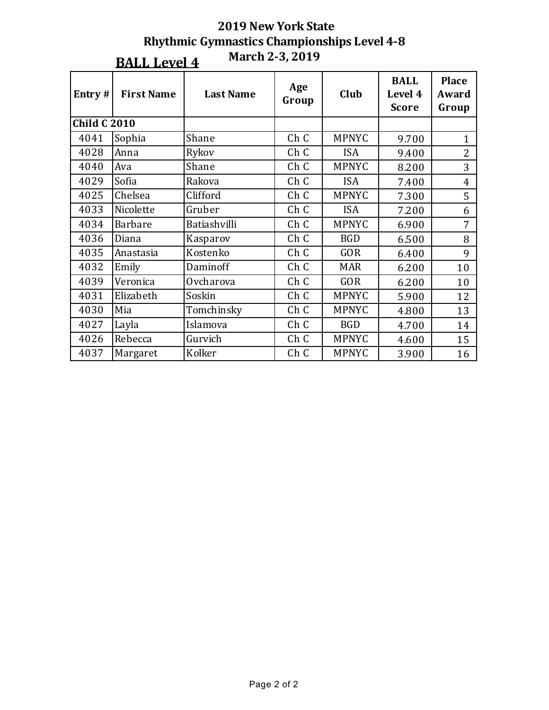|                     | March 2-3, 2019<br><b>BALL Level 4</b> |                  |              |              |                                        |                                |  |  |  |
|---------------------|----------------------------------------|------------------|--------------|--------------|----------------------------------------|--------------------------------|--|--|--|
| Entry#              | <b>First Name</b>                      | <b>Last Name</b> | Age<br>Group | Club         | <b>BALL</b><br>Level 4<br><b>Score</b> | <b>Place</b><br>Award<br>Group |  |  |  |
| <b>Child C 2010</b> |                                        |                  |              |              |                                        |                                |  |  |  |
| 4041                | Sophia                                 | Shane            | Ch C         | <b>MPNYC</b> | 9.700                                  | $\mathbf{1}$                   |  |  |  |
| 4028                | Anna                                   | Rykov            | Ch C         | <b>ISA</b>   | 9.400                                  | $\overline{2}$                 |  |  |  |
| 4040                | Ava                                    | Shane            | Ch C         | <b>MPNYC</b> | 8.200                                  | 3                              |  |  |  |
| 4029                | Sofia                                  | Rakova           | Ch C         | <b>ISA</b>   | 7.400                                  | $\overline{4}$                 |  |  |  |
| 4025                | Chelsea                                | Clifford         | Ch C         | <b>MPNYC</b> | 7.300                                  | 5                              |  |  |  |
| 4033                | Nicolette                              | Gruber           | Ch C         | <b>ISA</b>   | 7.200                                  | 6                              |  |  |  |
| 4034                | <b>Barbare</b>                         | Batiashvilli     | Ch C         | <b>MPNYC</b> | 6.900                                  | 7                              |  |  |  |
| 4036                | Diana                                  | Kasparov         | Ch C         | <b>BGD</b>   | 6.500                                  | 8                              |  |  |  |
| 4035                | Anastasia                              | Kostenko         | Ch C         | <b>GOR</b>   | 6.400                                  | 9                              |  |  |  |
| 4032                | Emily                                  | Daminoff         | Ch C         | <b>MAR</b>   | 6.200                                  | 10                             |  |  |  |
| 4039                | Veronica                               | Ovcharova        | Ch C         | <b>GOR</b>   | 6.200                                  | 10                             |  |  |  |
| 4031                | Elizabeth                              | Soskin           | Ch C         | <b>MPNYC</b> | 5.900                                  | 12                             |  |  |  |
| 4030                | Mia                                    | Tomchinsky       | Ch C         | <b>MPNYC</b> | 4.800                                  | 13                             |  |  |  |
| 4027                | Layla                                  | Islamova         | Ch C         | <b>BGD</b>   | 4.700                                  | 14                             |  |  |  |
| 4026                | Rebecca                                | Gurvich          | Ch C         | <b>MPNYC</b> | 4.600                                  | 15                             |  |  |  |
| 4037                | Margaret                               | Kolker           | Ch C         | <b>MPNYC</b> | 3.900                                  | 16                             |  |  |  |

# **2019 New York State Rhythmic Gymnastics Championships Level 4-8**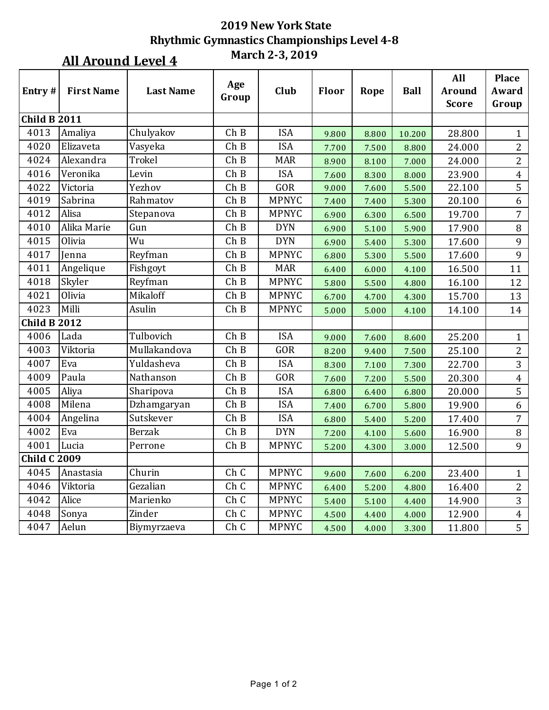### **All Around Level 4**

| Entry#              | <b>First Name</b> | <b>Last Name</b> | Age<br>Group       | Club         | Floor | Rope  | <b>Ball</b> | All<br><b>Around</b><br><b>Score</b> | <b>Place</b><br>Award<br>Group |
|---------------------|-------------------|------------------|--------------------|--------------|-------|-------|-------------|--------------------------------------|--------------------------------|
| <b>Child B 2011</b> |                   |                  |                    |              |       |       |             |                                      |                                |
| 4013                | Amaliya           | Chulyakov        | ChB                | <b>ISA</b>   | 9.800 | 8.800 | 10.200      | 28.800                               | $\mathbf{1}$                   |
| 4020                | Elizaveta         | Vasyeka          | ChB                | <b>ISA</b>   | 7.700 | 7.500 | 8.800       | 24.000                               | $\overline{2}$                 |
| 4024                | Alexandra         | Trokel           | Ch B               | <b>MAR</b>   | 8.900 | 8.100 | 7.000       | 24.000                               | $\overline{2}$                 |
| 4016                | Veronika          | Levin            | ChB                | <b>ISA</b>   | 7.600 | 8.300 | 8.000       | 23.900                               | $\overline{4}$                 |
| 4022                | Victoria          | Yezhov           | ChB                | GOR          | 9.000 | 7.600 | 5.500       | 22.100                               | 5                              |
| 4019                | Sabrina           | Rahmatov         | ChB                | <b>MPNYC</b> | 7.400 | 7.400 | 5.300       | 20.100                               | 6                              |
| 4012                | Alisa             | Stepanova        | ChB                | <b>MPNYC</b> | 6.900 | 6.300 | 6.500       | 19.700                               | 7                              |
| 4010                | Alika Marie       | Gun              | ChB                | <b>DYN</b>   | 6.900 | 5.100 | 5.900       | 17.900                               | 8                              |
| 4015                | Olivia            | Wu               | Ch B               | <b>DYN</b>   | 6.900 | 5.400 | 5.300       | 17.600                               | 9                              |
| 4017                | Jenna             | Reyfman          | ChB                | <b>MPNYC</b> | 6.800 | 5.300 | 5.500       | 17.600                               | 9                              |
| 4011                | Angelique         | Fishgoyt         | ChB                | <b>MAR</b>   | 6.400 | 6.000 | 4.100       | 16.500                               | 11                             |
| 4018                | Skyler            | Reyfman          | ChB                | <b>MPNYC</b> | 5.800 | 5.500 | 4.800       | 16.100                               | 12                             |
| 4021                | Olivia            | Mikaloff         | ChB                | <b>MPNYC</b> | 6.700 | 4.700 | 4.300       | 15.700                               | 13                             |
| 4023                | Milli             | Asulin           | ChB                | <b>MPNYC</b> | 5.000 | 5.000 | 4.100       | 14.100                               | 14                             |
| <b>Child B 2012</b> |                   |                  |                    |              |       |       |             |                                      |                                |
| 4006                | Lada              | Tulbovich        | ChB                | <b>ISA</b>   | 9.000 | 7.600 | 8.600       | 25.200                               | $\mathbf{1}$                   |
| 4003                | Viktoria          | Mullakandova     | ChB                | GOR          | 8.200 | 9.400 | 7.500       | 25.100                               | 2                              |
| 4007                | Eva               | Yuldasheva       | ChB                | <b>ISA</b>   | 8.300 | 7.100 | 7.300       | 22.700                               | 3                              |
| 4009                | Paula             | Nathanson        | ChB                | GOR          | 7.600 | 7.200 | 5.500       | 20.300                               | $\overline{4}$                 |
| 4005                | Aliya             | Sharipova        | Ch B               | <b>ISA</b>   | 6.800 | 6.400 | 6.800       | 20.000                               | 5                              |
| 4008                | Milena            | Dzhamgaryan      | ChB                | <b>ISA</b>   | 7.400 | 6.700 | 5.800       | 19.900                               | 6                              |
| 4004                | Angelina          | Sutskever        | ChB                | <b>ISA</b>   | 6.800 | 5.400 | 5.200       | 17.400                               | 7                              |
| 4002                | Eva               | <b>Berzak</b>    | ChB                | <b>DYN</b>   | 7.200 | 4.100 | 5.600       | 16.900                               | $\, 8$                         |
| 4001                | Lucia             | Perrone          | ChB                | <b>MPNYC</b> | 5.200 | 4.300 | 3.000       | 12.500                               | 9                              |
| <b>Child C 2009</b> |                   |                  |                    |              |       |       |             |                                      |                                |
| 4045                | Anastasia         | Churin           | $\overline{C}$ h C | <b>MPNYC</b> | 9.600 | 7.600 | 6.200       | 23.400                               | $\mathbf{1}$                   |
| 4046                | Viktoria          | Gezalian         | Ch C               | <b>MPNYC</b> | 6.400 | 5.200 | 4.800       | 16.400                               | $\overline{2}$                 |
| 4042                | Alice             | Marienko         | Ch C               | <b>MPNYC</b> | 5.400 | 5.100 | 4.400       | 14.900                               | 3                              |
| 4048                | Sonya             | Zinder           | Ch C               | <b>MPNYC</b> | 4.500 | 4.400 | 4.000       | 12.900                               | $\overline{4}$                 |
| 4047                | Aelun             | Biymyrzaeva      | Ch C               | <b>MPNYC</b> | 4.500 | 4.000 | 3.300       | 11.800                               | 5                              |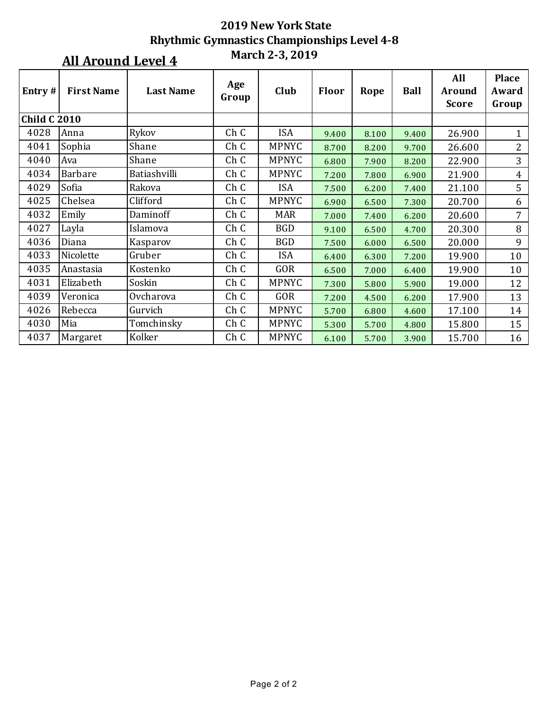| Entry#              | <b>First Name</b> | <b>Last Name</b> | Age<br>Group    | Club         | <b>Floor</b> | Rope  | <b>Ball</b> | All<br><b>Around</b><br><b>Score</b> | <b>Place</b><br>Award<br>Group |
|---------------------|-------------------|------------------|-----------------|--------------|--------------|-------|-------------|--------------------------------------|--------------------------------|
| <b>Child C 2010</b> |                   |                  |                 |              |              |       |             |                                      |                                |
| 4028                | Anna              | Rykov            | Ch C            | <b>ISA</b>   | 9.400        | 8.100 | 9.400       | 26.900                               | 1                              |
| 4041                | Sophia            | Shane            | Ch C            | <b>MPNYC</b> | 8.700        | 8.200 | 9.700       | 26.600                               | $\overline{2}$                 |
| 4040                | Ava               | Shane            | Ch C            | <b>MPNYC</b> | 6.800        | 7.900 | 8.200       | 22.900                               | 3                              |
| 4034                | <b>Barbare</b>    | Batiashvilli     | Ch <sub>C</sub> | <b>MPNYC</b> | 7.200        | 7.800 | 6.900       | 21.900                               | 4                              |
| 4029                | Sofia             | Rakova           | Ch C            | <b>ISA</b>   | 7.500        | 6.200 | 7.400       | 21.100                               | 5                              |
| 4025                | Chelsea           | Clifford         | Ch <sub>C</sub> | <b>MPNYC</b> | 6.900        | 6.500 | 7.300       | 20.700                               | 6                              |
| 4032                | Emily             | Daminoff         | Ch <sub>C</sub> | <b>MAR</b>   | 7.000        | 7.400 | 6.200       | 20.600                               | 7                              |
| 4027                | Layla             | Islamova         | Ch C            | <b>BGD</b>   | 9.100        | 6.500 | 4.700       | 20.300                               | 8                              |
| 4036                | Diana             | Kasparov         | Ch <sub>C</sub> | <b>BGD</b>   | 7.500        | 6.000 | 6.500       | 20.000                               | 9                              |
| 4033                | Nicolette         | Gruber           | Ch <sub>C</sub> | <b>ISA</b>   | 6.400        | 6.300 | 7.200       | 19.900                               | 10                             |
| 4035                | Anastasia         | Kostenko         | Ch C            | GOR          | 6.500        | 7.000 | 6.400       | 19.900                               | 10                             |
| 4031                | Elizabeth         | Soskin           | Ch <sub>C</sub> | <b>MPNYC</b> | 7.300        | 5.800 | 5.900       | 19.000                               | 12                             |
| 4039                | Veronica          | Ovcharova        | Ch C            | GOR          | 7.200        | 4.500 | 6.200       | 17.900                               | 13                             |
| 4026                | Rebecca           | Gurvich          | Ch C            | <b>MPNYC</b> | 5.700        | 6.800 | 4.600       | 17.100                               | 14                             |
| 4030                | Mia               | Tomchinsky       | Ch <sub>C</sub> | <b>MPNYC</b> | 5.300        | 5.700 | 4.800       | 15.800                               | 15                             |
| 4037                | Margaret          | Kolker           | Ch <sub>C</sub> | <b>MPNYC</b> | 6.100        | 5.700 | 3.900       | 15.700                               | 16                             |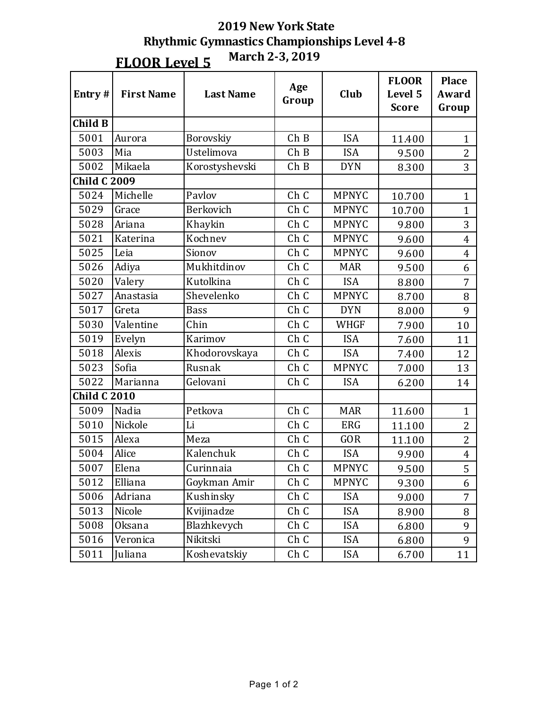| Entry#              | <b>First Name</b> | <b>Last Name</b> | Age<br>Group | Club         | <b>FLOOR</b><br>Level 5<br><b>Score</b> | <b>Place</b><br>Award<br>Group |
|---------------------|-------------------|------------------|--------------|--------------|-----------------------------------------|--------------------------------|
| <b>Child B</b>      |                   |                  |              |              |                                         |                                |
| 5001                | Aurora            | Borovskiy        | ChB          | <b>ISA</b>   | 11.400                                  | $\mathbf{1}$                   |
| 5003                | Mia               | Ustelimova       | ChB          | <b>ISA</b>   | 9.500                                   | $\overline{2}$                 |
| 5002                | Mikaela           | Korostyshevski   | ChB          | <b>DYN</b>   | 8.300                                   | 3                              |
| <b>Child C 2009</b> |                   |                  |              |              |                                         |                                |
| 5024                | Michelle          | Pavlov           | Ch C         | <b>MPNYC</b> | 10.700                                  | $\mathbf{1}$                   |
| 5029                | Grace             | Berkovich        | Ch C         | <b>MPNYC</b> | 10.700                                  | $\mathbf{1}$                   |
| 5028                | Ariana            | Khaykin          | Ch C         | <b>MPNYC</b> | 9.800                                   | 3                              |
| 5021                | Katerina          | Kochnev          | Ch C         | <b>MPNYC</b> | 9.600                                   | $\overline{4}$                 |
| 5025                | Leia              | Sionov           | Ch C         | <b>MPNYC</b> | 9.600                                   | $\overline{4}$                 |
| 5026                | Adiya             | Mukhitdinov      | Ch C         | <b>MAR</b>   | 9.500                                   | 6                              |
| 5020                | Valery            | Kutolkina        | Ch C         | <b>ISA</b>   | 8.800                                   | $\overline{7}$                 |
| 5027                | Anastasia         | Shevelenko       | Ch C         | <b>MPNYC</b> | 8.700                                   | 8                              |
| 5017                | Greta             | <b>Bass</b>      | Ch C         | <b>DYN</b>   | 8.000                                   | 9                              |
| 5030                | Valentine         | Chin             | Ch C         | <b>WHGF</b>  | 7.900                                   | 10                             |
| 5019                | Evelyn            | Karimov          | Ch C         | <b>ISA</b>   | 7.600                                   | 11                             |
| 5018                | Alexis            | Khodorovskaya    | Ch C         | <b>ISA</b>   | 7.400                                   | 12                             |
| 5023                | Sofia             | Rusnak           | Ch C         | <b>MPNYC</b> | 7.000                                   | 13                             |
| 5022                | Marianna          | Gelovani         | Ch C         | <b>ISA</b>   | 6.200                                   | 14                             |
| <b>Child C 2010</b> |                   |                  |              |              |                                         |                                |
| 5009                | Nadia             | Petkova          | Ch C         | <b>MAR</b>   | 11.600                                  | $\mathbf{1}$                   |
| 5010                | Nickole           | Li               | Ch C         | <b>ERG</b>   | 11.100                                  | $\overline{2}$                 |
| 5015                | Alexa             | Meza             | Ch C         | <b>GOR</b>   | 11.100                                  | $\overline{2}$                 |
| 5004                | Alice             | Kalenchuk        | Ch C         | <b>ISA</b>   | 9.900                                   | $\overline{\mathbf{4}}$        |
| 5007                | Elena             | Curinnaia        | Ch C         | <b>MPNYC</b> | 9.500                                   | 5                              |
| 5012                | Elliana           | Goykman Amir     | Ch C         | <b>MPNYC</b> | 9.300                                   | 6                              |
| 5006                | Adriana           | Kushinsky        | Ch C         | <b>ISA</b>   | 9.000                                   | $\overline{7}$                 |
| 5013                | Nicole            | Kvijinadze       | Ch C         | <b>ISA</b>   | 8.900                                   | 8                              |
| 5008                | Oksana            | Blazhkevych      | Ch C         | <b>ISA</b>   | 6.800                                   | 9                              |
| 5016                | Veronica          | Nikitski         | Ch C         | <b>ISA</b>   | 6.800                                   | 9                              |
| 5011                | Juliana           | Koshevatskiy     | Ch C         | <b>ISA</b>   | 6.700                                   | 11                             |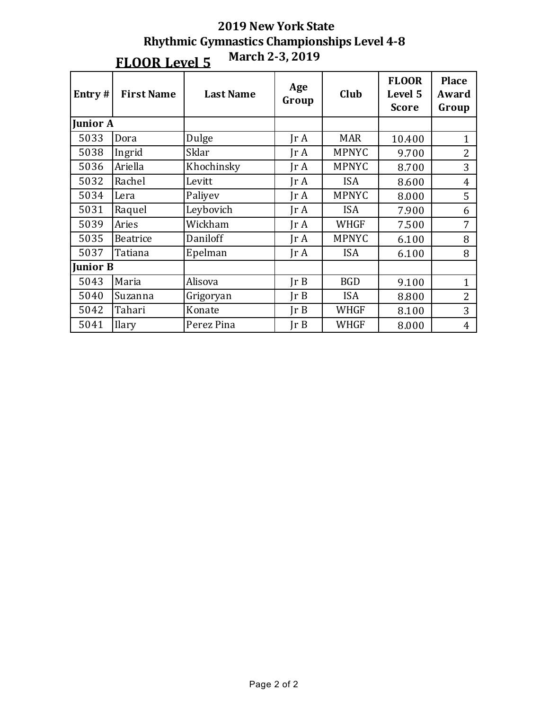| Entry $#$       | <b>First Name</b> | <b>Last Name</b> | Age<br>Group            | Club         | <b>FLOOR</b><br>Level 5<br><b>Score</b> | <b>Place</b><br>Award<br>Group |
|-----------------|-------------------|------------------|-------------------------|--------------|-----------------------------------------|--------------------------------|
| <b>Junior A</b> |                   |                  |                         |              |                                         |                                |
| 5033            | Dora              | Dulge            | IrA                     | <b>MAR</b>   | 10.400                                  | $\mathbf{1}$                   |
| 5038            | Ingrid            | Sklar            | Jr A                    | <b>MPNYC</b> | 9.700                                   | $\overline{2}$                 |
| 5036            | Ariella           | Khochinsky       | Jr A                    | <b>MPNYC</b> | 8.700                                   | 3                              |
| 5032            | Rachel            | Levitt           | Jr A                    | <b>ISA</b>   | 8.600                                   | $\overline{4}$                 |
| 5034            | Lera              | Paliyev          | Jr A                    | <b>MPNYC</b> | 8.000                                   | 5                              |
| 5031            | Raquel            | Leybovich        | IrA                     | <b>ISA</b>   | 7.900                                   | 6                              |
| 5039            | Aries             | Wickham          | $\text{Tr } \mathbf{A}$ | <b>WHGF</b>  | 7.500                                   | 7                              |
| 5035            | <b>Beatrice</b>   | Daniloff         | $\text{Tr }A$           | <b>MPNYC</b> | 6.100                                   | 8                              |
| 5037            | Tatiana           | Epelman          | $\text{Tr } \mathbf{A}$ | <b>ISA</b>   | 6.100                                   | 8                              |
| <b>Junior B</b> |                   |                  |                         |              |                                         |                                |
| 5043            | Maria             | Alisova          | Ir B                    | <b>BGD</b>   | 9.100                                   | $\mathbf{1}$                   |
| 5040            | Suzanna           | Grigoryan        | $\text{lr } B$          | <b>ISA</b>   | 8.800                                   | $\overline{2}$                 |
| 5042            | Tahari            | Konate           | $\text{lr } B$          | <b>WHGF</b>  | 8.100                                   | 3                              |
| 5041            | <b>Ilary</b>      | Perez Pina       | Ir B                    | WHGF         | 8.000                                   | $\overline{4}$                 |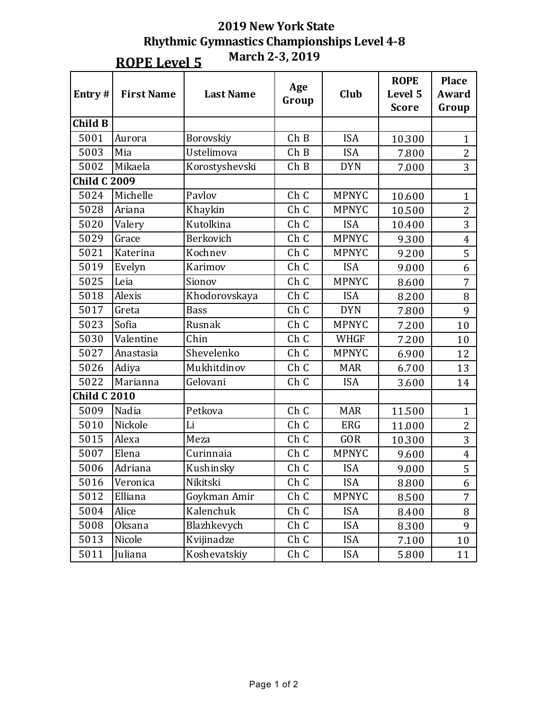**ROPE** Level 5

**March 2-3, 2019**

| Entry#              | <b>First Name</b> | <b>Last Name</b> | Age<br>Group    | Club         | <b>ROPE</b><br>Level 5<br><b>Score</b> | <b>Place</b><br>Award<br>Group |
|---------------------|-------------------|------------------|-----------------|--------------|----------------------------------------|--------------------------------|
| <b>Child B</b>      |                   |                  |                 |              |                                        |                                |
| 5001                | Aurora            | Borovskiy        | ChB             | <b>ISA</b>   | 10.300                                 | $\mathbf{1}$                   |
| 5003                | Mia               | Ustelimova       | ChB             | <b>ISA</b>   | 7.800                                  | $\overline{2}$                 |
| 5002                | Mikaela           | Korostyshevski   | ChB             | <b>DYN</b>   | 7.000                                  | 3                              |
| <b>Child C 2009</b> |                   |                  |                 |              |                                        |                                |
| 5024                | Michelle          | Pavlov           | Ch C            | <b>MPNYC</b> | 10.600                                 | $\mathbf{1}$                   |
| 5028                | Ariana            | Khaykin          | Ch C            | <b>MPNYC</b> | 10.500                                 | $\overline{2}$                 |
| 5020                | Valery            | Kutolkina        | Ch C            | <b>ISA</b>   | 10.400                                 | 3                              |
| 5029                | Grace             | Berkovich        | Ch C            | <b>MPNYC</b> | 9.300                                  | $\overline{4}$                 |
| 5021                | Katerina          | Kochnev          | Ch C            | <b>MPNYC</b> | 9.200                                  | 5                              |
| 5019                | Evelyn            | Karimov          | Ch C            | <b>ISA</b>   | 9.000                                  | 6                              |
| 5025                | Leia              | Sionov           | Ch <sub>C</sub> | <b>MPNYC</b> | 8.600                                  | $\overline{7}$                 |
| 5018                | Alexis            | Khodorovskaya    | Ch C            | <b>ISA</b>   | 8.200                                  | 8                              |
| 5017                | Greta             | <b>Bass</b>      | Ch C            | <b>DYN</b>   | 7.800                                  | 9                              |
| 5023                | Sofia             | Rusnak           | Ch C            | <b>MPNYC</b> | 7.200                                  | 10                             |
| 5030                | Valentine         | Chin             | Ch C            | <b>WHGF</b>  | 7.200                                  | 10                             |
| 5027                | Anastasia         | Shevelenko       | Ch C            | <b>MPNYC</b> | 6.900                                  | 12                             |
| 5026                | Adiya             | Mukhitdinov      | Ch C            | <b>MAR</b>   | 6.700                                  | 13                             |
| 5022                | Marianna          | Gelovani         | Ch C            | <b>ISA</b>   | 3.600                                  | 14                             |
| <b>Child C 2010</b> |                   |                  |                 |              |                                        |                                |
| 5009                | Nadia             | Petkova          | Ch C            | <b>MAR</b>   | 11.500                                 | $\mathbf{1}$                   |
| 5010                | Nickole           | Li               | Ch C            | <b>ERG</b>   | 11.000                                 | $\overline{2}$                 |
| 5015                | Alexa             | Meza             | Ch C            | <b>GOR</b>   | 10.300                                 | 3                              |
| 5007                | Elena             | Curinnaia        | Ch C            | <b>MPNYC</b> | 9.600                                  | $\overline{4}$                 |
| 5006                | Adriana           | Kushinsky        | Ch C            | <b>ISA</b>   | 9.000                                  | 5                              |
| 5016                | Veronica          | Nikitski         | Ch C            | <b>ISA</b>   | 8.800                                  | 6                              |
| 5012                | Elliana           | Goykman Amir     | Ch C            | <b>MPNYC</b> | 8.500                                  | $\overline{7}$                 |
| 5004                | Alice             | Kalenchuk        | Ch C            | <b>ISA</b>   | 8.400                                  | 8                              |
| 5008                | Oksana            | Blazhkevych      | Ch C            | <b>ISA</b>   | 8.300                                  | 9                              |
| 5013                | Nicole            | Kvijinadze       | Ch C            | <b>ISA</b>   | 7.100                                  | 10                             |
| 5011                | Juliana           | Koshevatskiy     | Ch C            | <b>ISA</b>   | 5.800                                  | 11                             |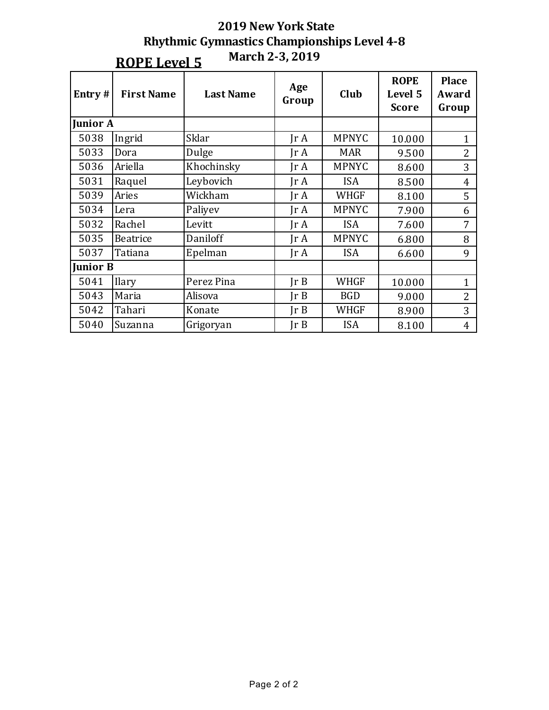|                 | March 2-3, 2019<br><b>ROPE Level 5</b> |                                          |                         |                                        |                                |                |  |  |  |  |
|-----------------|----------------------------------------|------------------------------------------|-------------------------|----------------------------------------|--------------------------------|----------------|--|--|--|--|
| Entry #         | <b>First Name</b>                      | Age<br>Club<br><b>Last Name</b><br>Group |                         | <b>ROPE</b><br>Level 5<br><b>Score</b> | <b>Place</b><br>Award<br>Group |                |  |  |  |  |
| <b>Junior A</b> |                                        |                                          |                         |                                        |                                |                |  |  |  |  |
| 5038            | Ingrid                                 | Sklar                                    | $\text{Tr } \mathbf{A}$ | <b>MPNYC</b>                           | 10.000                         | $\mathbf{1}$   |  |  |  |  |
| 5033            | Dora                                   | Dulge                                    | $\text{Tr }A$           | <b>MAR</b>                             | 9.500                          | $\overline{2}$ |  |  |  |  |
| 5036            | Ariella                                | Khochinsky                               | $\text{Tr } \mathbf{A}$ | <b>MPNYC</b>                           | 8.600                          | 3              |  |  |  |  |
| 5031            | Raquel                                 | Leybovich                                | $\text{Tr } \mathbf{A}$ | <b>ISA</b>                             | 8.500                          | $\overline{4}$ |  |  |  |  |
| 5039            | Aries                                  | Wickham                                  | $\text{Tr } \mathbf{A}$ | <b>WHGF</b>                            | 8.100                          | 5              |  |  |  |  |
| 5034            | Lera                                   | Paliyev                                  | $\text{Tr } \mathbf{A}$ | <b>MPNYC</b>                           | 7.900                          | 6              |  |  |  |  |
| 5032            | Rachel                                 | Levitt                                   | $\text{Tr }A$           | <b>ISA</b>                             | 7.600                          | 7              |  |  |  |  |
| 5035            | Beatrice                               | Daniloff                                 | $\text{Tr } \mathbf{A}$ | <b>MPNYC</b>                           | 6.800                          | 8              |  |  |  |  |
| 5037            | Tatiana                                | Epelman                                  | $\text{Tr } \mathbf{A}$ | <b>ISA</b>                             | 6.600                          | 9              |  |  |  |  |
| <b>Junior B</b> |                                        |                                          |                         |                                        |                                |                |  |  |  |  |
| 5041            | <b>Ilary</b>                           | Perez Pina                               | Ir B                    | <b>WHGF</b>                            | 10.000                         | $\mathbf{1}$   |  |  |  |  |
| 5043            | Maria                                  | Alisova                                  | Ir B                    | <b>BGD</b>                             | 9.000                          | $\overline{2}$ |  |  |  |  |
| 5042            | Tahari                                 | Konate                                   | Ir B                    | <b>WHGF</b>                            | 8.900                          | 3              |  |  |  |  |
| 5040            | Suzanna                                | Grigoryan                                | Ir B                    | <b>ISA</b>                             | 8.100                          | $\overline{4}$ |  |  |  |  |

# **2019 New York State Rhythmic Gymnastics Championships Level 4-8**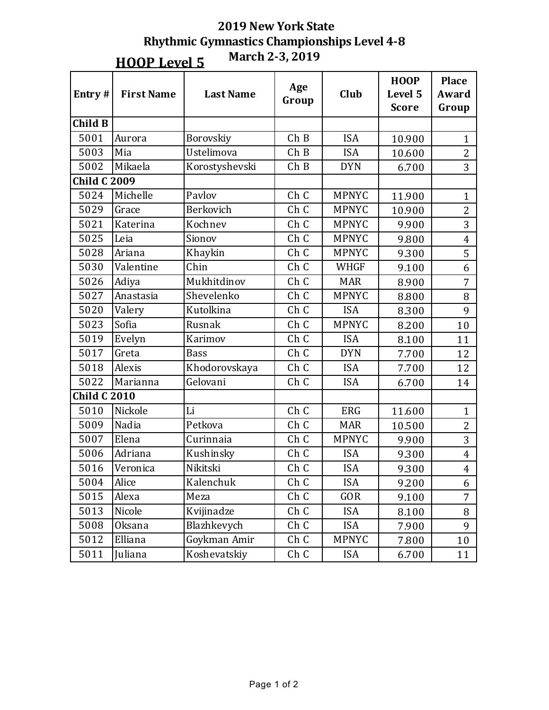**HOOP** Level 5

**March 2-3, 2019**

| Entry#              | <b>First Name</b> | <b>Last Name</b> | Age<br>Group | Club         | <b>HOOP</b><br>Level 5<br><b>Score</b> | <b>Place</b><br><b>Award</b><br>Group |
|---------------------|-------------------|------------------|--------------|--------------|----------------------------------------|---------------------------------------|
| Child B             |                   |                  |              |              |                                        |                                       |
| 5001                | Aurora            | Borovskiy        | ChB          | <b>ISA</b>   | 10.900                                 | $\mathbf{1}$                          |
| 5003                | Mia               | Ustelimova       | ChB          | <b>ISA</b>   | 10.600                                 | $\overline{2}$                        |
| 5002                | Mikaela           | Korostyshevski   | ChB          | <b>DYN</b>   | 6.700                                  | 3                                     |
| <b>Child C 2009</b> |                   |                  |              |              |                                        |                                       |
| 5024                | Michelle          | Pavlov           | Ch C         | <b>MPNYC</b> | 11.900                                 | $\mathbf{1}$                          |
| 5029                | Grace             | Berkovich        | Ch C         | <b>MPNYC</b> | 10.900                                 | $\overline{c}$                        |
| 5021                | Katerina          | Kochnev          | Ch C         | <b>MPNYC</b> | 9.900                                  | 3                                     |
| 5025                | Leia              | Sionov           | Ch C         | <b>MPNYC</b> | 9.800                                  | $\overline{4}$                        |
| 5028                | Ariana            | Khaykin          | Ch C         | <b>MPNYC</b> | 9.300                                  | 5                                     |
| 5030                | Valentine         | Chin             | Ch C         | <b>WHGF</b>  | 9.100                                  | 6                                     |
| 5026                | Adiya             | Mukhitdinov      | Ch C         | <b>MAR</b>   | 8.900                                  | $\overline{7}$                        |
| 5027                | Anastasia         | Shevelenko       | Ch C         | <b>MPNYC</b> | 8.800                                  | 8                                     |
| 5020                | Valery            | Kutolkina        | Ch C         | <b>ISA</b>   | 8.300                                  | 9                                     |
| 5023                | Sofia             | Rusnak           | Ch C         | <b>MPNYC</b> | 8.200                                  | 10                                    |
| 5019                | Evelyn            | Karimov          | Ch C         | <b>ISA</b>   | 8.100                                  | 11                                    |
| 5017                | Greta             | <b>Bass</b>      | Ch C         | <b>DYN</b>   | 7.700                                  | 12                                    |
| 5018                | Alexis            | Khodorovskaya    | Ch C         | <b>ISA</b>   | 7.700                                  | 12                                    |
| 5022                | Marianna          | Gelovani         | Ch C         | <b>ISA</b>   | 6.700                                  | 14                                    |
| <b>Child C 2010</b> |                   |                  |              |              |                                        |                                       |
| 5010                | Nickole           | Li               | Ch C         | <b>ERG</b>   | 11.600                                 | $\mathbf{1}$                          |
| 5009                | Nadia             | Petkova          | Ch C         | <b>MAR</b>   | 10.500                                 | $\overline{2}$                        |
| 5007                | Elena             | Curinnaia        | Ch C         | <b>MPNYC</b> | 9.900                                  | 3                                     |
| 5006                | Adriana           | Kushinsky        | Ch C         | <b>ISA</b>   | 9.300                                  | $\overline{4}$                        |
| 5016                | Veronica          | Nikitski         | Ch C         | <b>ISA</b>   | 9.300                                  | $\overline{4}$                        |
| 5004                | Alice             | Kalenchuk        | Ch C         | <b>ISA</b>   | 9.200                                  | 6                                     |
| 5015                | Alexa             | Meza             | Ch C         | GOR          | 9.100                                  | $\overline{7}$                        |
| 5013                | Nicole            | Kvijinadze       | Ch C         | <b>ISA</b>   | 8.100                                  | 8                                     |
| 5008                | Oksana            | Blazhkevych      | Ch C         | <b>ISA</b>   | 7.900                                  | 9                                     |
| 5012                | Elliana           | Goykman Amir     | Ch C         | <b>MPNYC</b> | 7.800                                  | 10                                    |
| 5011                | Juliana           | Koshevatskiy     | Ch C         | <b>ISA</b>   | 6.700                                  | 11                                    |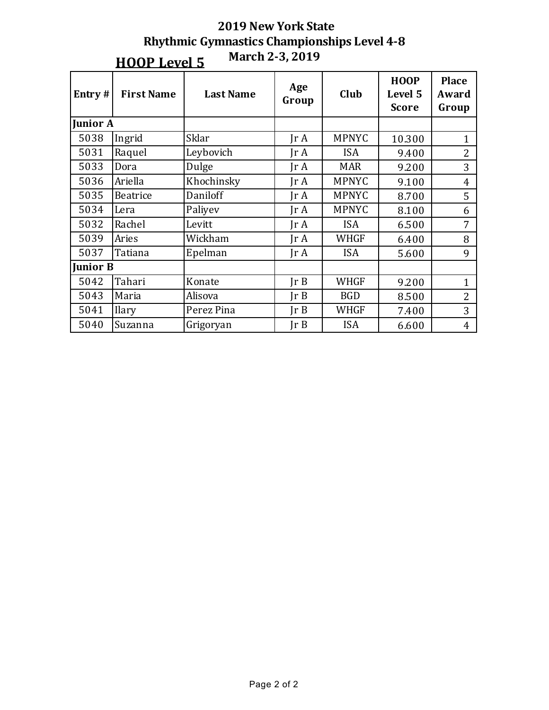|                 | March 2-3, 2019<br><b>HOOP Level 5</b> |                  |                      |              |                                        |                                |  |  |  |  |
|-----------------|----------------------------------------|------------------|----------------------|--------------|----------------------------------------|--------------------------------|--|--|--|--|
| Entry#          | <b>First Name</b>                      | <b>Last Name</b> | Age<br>Club<br>Group |              | <b>HOOP</b><br>Level 5<br><b>Score</b> | <b>Place</b><br>Award<br>Group |  |  |  |  |
| <b>Junior A</b> |                                        |                  |                      |              |                                        |                                |  |  |  |  |
| 5038            | Ingrid                                 | Sklar            | JrA                  | <b>MPNYC</b> | 10.300                                 | $\mathbf{1}$                   |  |  |  |  |
| 5031            | Raquel                                 | Leybovich        | $\text{Tr }A$        | <b>ISA</b>   | 9.400                                  | $\overline{2}$                 |  |  |  |  |
| 5033            | Dora                                   | Dulge            | $\text{Tr }A$        | <b>MAR</b>   | 9.200                                  | 3                              |  |  |  |  |
| 5036            | Ariella                                | Khochinsky       | IrA                  | <b>MPNYC</b> | 9.100                                  | $\overline{4}$                 |  |  |  |  |
| 5035            | Beatrice                               | Daniloff         | Jr A                 | <b>MPNYC</b> | 8.700                                  | 5                              |  |  |  |  |
| 5034            | Lera                                   | Paliyev          | $\text{Tr }A$        | <b>MPNYC</b> | 8.100                                  | 6                              |  |  |  |  |
| 5032            | Rachel                                 | Levitt           | Jr A                 | <b>ISA</b>   | 6.500                                  | $\overline{7}$                 |  |  |  |  |
| 5039            | Aries                                  | Wickham          | IrA                  | <b>WHGF</b>  | 6.400                                  | 8                              |  |  |  |  |
| 5037            | Tatiana                                | Epelman          | $\text{Tr }A$        | <b>ISA</b>   | 5.600                                  | 9                              |  |  |  |  |
| <b>Junior B</b> |                                        |                  |                      |              |                                        |                                |  |  |  |  |
| 5042            | Tahari                                 | Konate           | Ir B                 | <b>WHGF</b>  | 9.200                                  | $\mathbf{1}$                   |  |  |  |  |
| 5043            | Maria                                  | Alisova          | Ir B                 | <b>BGD</b>   | 8.500                                  | $\overline{2}$                 |  |  |  |  |
| 5041            | <b>Ilary</b>                           | Perez Pina       | $\text{lr } B$       | <b>WHGF</b>  | 7.400                                  | 3                              |  |  |  |  |
| 5040            | Suzanna                                | Grigoryan        | JrB                  | <b>ISA</b>   | 6.600                                  | 4                              |  |  |  |  |

# **2019 New York State Rhythmic Gymnastics Championships Level 4-8**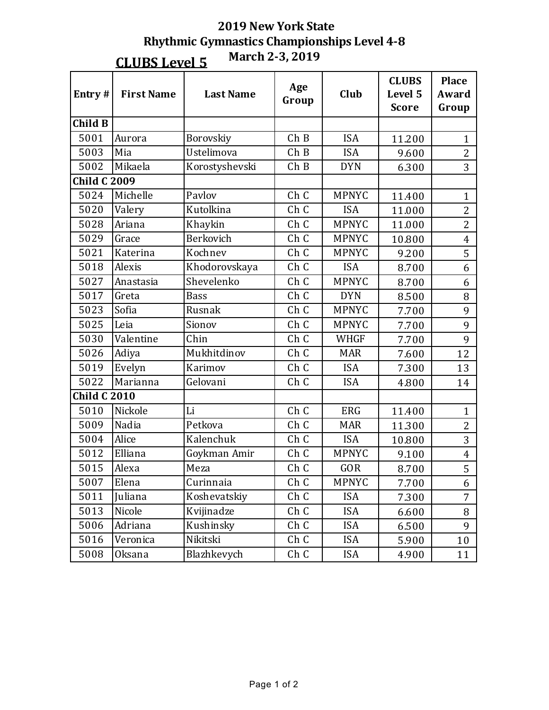**CLUBS Level 5**

**March 2-3, 2019**

| Entry#              | <b>First Name</b> | <b>Last Name</b> | Age<br>Group | Club         | <b>CLUBS</b><br>Level 5<br><b>Score</b> | <b>Place</b><br><b>Award</b><br>Group |
|---------------------|-------------------|------------------|--------------|--------------|-----------------------------------------|---------------------------------------|
| <b>Child B</b>      |                   |                  |              |              |                                         |                                       |
| 5001                | Aurora            | Borovskiy        | ChB          | <b>ISA</b>   | 11.200                                  | $\mathbf{1}$                          |
| 5003                | Mia               | Ustelimova       | ChB          | <b>ISA</b>   | 9.600                                   | $\overline{2}$                        |
| 5002                | Mikaela           | Korostyshevski   | ChB          | <b>DYN</b>   | 6.300                                   | 3                                     |
| <b>Child C 2009</b> |                   |                  |              |              |                                         |                                       |
| 5024                | Michelle          | Pavlov           | Ch C         | <b>MPNYC</b> | 11.400                                  | $\mathbf{1}$                          |
| 5020                | Valery            | Kutolkina        | Ch C         | <b>ISA</b>   | 11.000                                  | $\overline{2}$                        |
| 5028                | Ariana            | Khaykin          | Ch C         | <b>MPNYC</b> | 11.000                                  | $\overline{2}$                        |
| 5029                | Grace             | Berkovich        | Ch C         | <b>MPNYC</b> | 10.800                                  | $\overline{4}$                        |
| 5021                | Katerina          | Kochnev          | Ch C         | <b>MPNYC</b> | 9.200                                   | 5                                     |
| 5018                | Alexis            | Khodorovskaya    | Ch C         | <b>ISA</b>   | 8.700                                   | 6                                     |
| 5027                | Anastasia         | Shevelenko       | Ch C         | <b>MPNYC</b> | 8.700                                   | 6                                     |
| 5017                | Greta             | <b>Bass</b>      | Ch C         | <b>DYN</b>   | 8.500                                   | 8                                     |
| 5023                | Sofia             | Rusnak           | Ch C         | <b>MPNYC</b> | 7.700                                   | 9                                     |
| 5025                | Leia              | Sionov           | Ch C         | <b>MPNYC</b> | 7.700                                   | 9                                     |
| 5030                | Valentine         | Chin             | Ch C         | <b>WHGF</b>  | 7.700                                   | 9                                     |
| 5026                | Adiya             | Mukhitdinov      | Ch C         | <b>MAR</b>   | 7.600                                   | 12                                    |
| 5019                | Evelyn            | Karimov          | Ch C         | <b>ISA</b>   | 7.300                                   | 13                                    |
| 5022                | Marianna          | Gelovani         | Ch C         | <b>ISA</b>   | 4.800                                   | 14                                    |
| <b>Child C 2010</b> |                   |                  |              |              |                                         |                                       |
| 5010                | Nickole           | Li               | Ch C         | <b>ERG</b>   | 11.400                                  | $\mathbf{1}$                          |
| 5009                | Nadia             | Petkova          | Ch C         | <b>MAR</b>   | 11.300                                  | $\overline{2}$                        |
| 5004                | Alice             | Kalenchuk        | Ch C         | <b>ISA</b>   | 10.800                                  | 3                                     |
| 5012                | Elliana           | Goykman Amir     | Ch C         | <b>MPNYC</b> | 9.100                                   | $\overline{4}$                        |
| 5015                | Alexa             | Meza             | Ch C         | <b>GOR</b>   | 8.700                                   | 5                                     |
| 5007                | Elena             | Curinnaia        | Ch C         | <b>MPNYC</b> | 7.700                                   | 6                                     |
| 5011                | Juliana           | Koshevatskiy     | Ch C         | <b>ISA</b>   | 7.300                                   | $\overline{7}$                        |
| 5013                | Nicole            | Kvijinadze       | Ch C         | <b>ISA</b>   | 6.600                                   | 8                                     |
| 5006                | Adriana           | Kushinsky        | Ch C         | <b>ISA</b>   | 6.500                                   | 9                                     |
| 5016                | Veronica          | Nikitski         | Ch C         | <b>ISA</b>   | 5.900                                   | 10                                    |
| 5008                | <b>Oksana</b>     | Blazhkevych      | Ch C         | <b>ISA</b>   | 4.900                                   | 11                                    |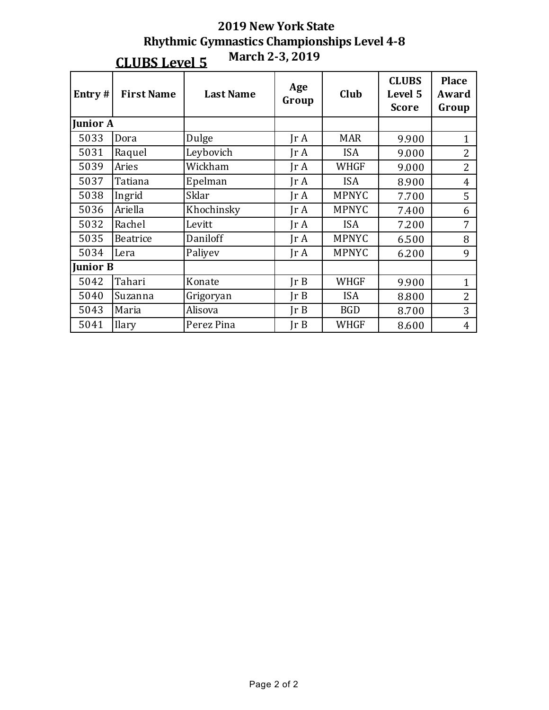|                 |                                                    | <b>2019 New York State</b> |                         |              |                                         |                                |  |  |  |  |
|-----------------|----------------------------------------------------|----------------------------|-------------------------|--------------|-----------------------------------------|--------------------------------|--|--|--|--|
|                 | <b>Rhythmic Gymnastics Championships Level 4-8</b> |                            |                         |              |                                         |                                |  |  |  |  |
|                 | March 2-3, 2019<br><b>CLUBS Level 5</b>            |                            |                         |              |                                         |                                |  |  |  |  |
| Entry#          | <b>First Name</b>                                  | <b>Last Name</b>           | Age<br>Group            | Club         | <b>CLUBS</b><br>Level 5<br><b>Score</b> | <b>Place</b><br>Award<br>Group |  |  |  |  |
| <b>Junior A</b> |                                                    |                            |                         |              |                                         |                                |  |  |  |  |
| 5033            | Dora                                               | Dulge                      | $\text{Tr } \mathbf{A}$ | <b>MAR</b>   | 9.900                                   | $\mathbf{1}$                   |  |  |  |  |
| 5031            | Raquel                                             | Leybovich                  | $\text{Tr } \mathbf{A}$ | <b>ISA</b>   | 9.000                                   | $\overline{2}$                 |  |  |  |  |
| 5039            | Aries                                              | Wickham                    | $\text{Tr } \mathbf{A}$ | <b>WHGF</b>  | 9.000                                   | $\overline{2}$                 |  |  |  |  |
| 5037            | Tatiana                                            | Epelman                    | Jr A                    | <b>ISA</b>   | 8.900                                   | $\overline{4}$                 |  |  |  |  |
| 5038            | Ingrid                                             | Sklar                      | $\text{Tr }A$           | <b>MPNYC</b> | 7.700                                   | 5                              |  |  |  |  |
| 5036            | Ariella                                            | Khochinsky                 | IrA                     | <b>MPNYC</b> | 7.400                                   | 6                              |  |  |  |  |
| 5032            | Rachel                                             | Levitt                     | $\text{Tr }A$           | <b>ISA</b>   | 7.200                                   | 7                              |  |  |  |  |
| 5035            | <b>Beatrice</b>                                    | Daniloff                   | $\text{Tr } \mathbf{A}$ | <b>MPNYC</b> | 6.500                                   | 8                              |  |  |  |  |
| 5034            | Lera                                               | Paliyev                    | $\text{Tr } \mathbf{A}$ | <b>MPNYC</b> | 6.200                                   | 9                              |  |  |  |  |
| <b>Junior B</b> |                                                    |                            |                         |              |                                         |                                |  |  |  |  |
| 5042            | Tahari                                             | Konate                     | Ir B                    | <b>WHGF</b>  | 9.900                                   | $\mathbf{1}$                   |  |  |  |  |
| 5040            | Suzanna                                            | Grigoryan                  | Ir B                    | <b>ISA</b>   | 8.800                                   | $\overline{2}$                 |  |  |  |  |
| 5043            | Maria                                              | Alisova                    | JrB                     | <b>BGD</b>   | 8.700                                   | 3                              |  |  |  |  |
| 5041            | Ilary                                              | Perez Pina                 | JrB                     | WHGF         | 8.600                                   | $\overline{4}$                 |  |  |  |  |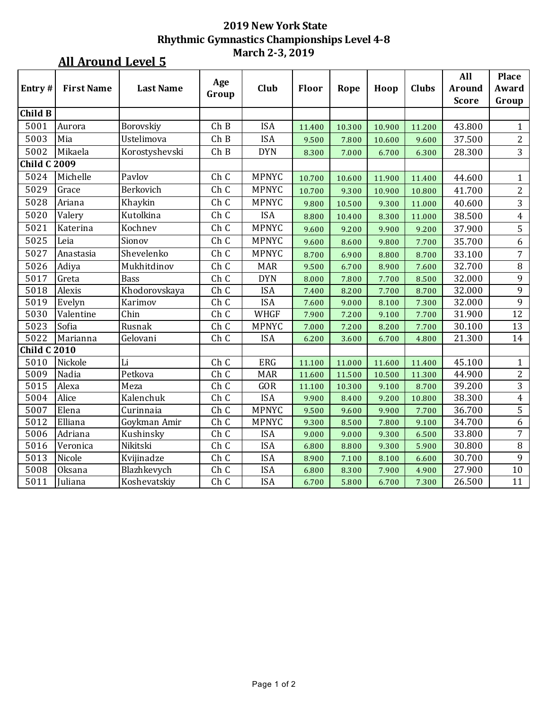### **All Around Level 5**

| Entry#              | <b>First Name</b> | <b>Last Name</b> | Age<br>Group | Club         | <b>Floor</b> | Rope   | Hoop   | <b>Clubs</b> | All<br><b>Around</b><br><b>Score</b> | <b>Place</b><br>Award<br>Group |
|---------------------|-------------------|------------------|--------------|--------------|--------------|--------|--------|--------------|--------------------------------------|--------------------------------|
| Child B             |                   |                  |              |              |              |        |        |              |                                      |                                |
| 5001                | Aurora            | Borovskiy        | ChB          | <b>ISA</b>   | 11.400       | 10.300 | 10.900 | 11.200       | 43.800                               | $\mathbf{1}$                   |
| 5003                | Mia               | Ustelimova       | ChB          | <b>ISA</b>   | 9.500        | 7.800  | 10.600 | 9.600        | 37.500                               | $\overline{2}$                 |
| 5002                | Mikaela           | Korostyshevski   | ChB          | <b>DYN</b>   | 8.300        | 7.000  | 6.700  | 6.300        | 28.300                               | $\overline{3}$                 |
| <b>Child C 2009</b> |                   |                  |              |              |              |        |        |              |                                      |                                |
| 5024                | Michelle          | Pavlov           | Ch C         | <b>MPNYC</b> | 10.700       | 10.600 | 11.900 | 11.400       | 44.600                               | $\mathbf{1}$                   |
| 5029                | Grace             | Berkovich        | Ch C         | <b>MPNYC</b> | 10.700       | 9.300  | 10.900 | 10.800       | 41.700                               | $\overline{c}$                 |
| 5028                | Ariana            | Khaykin          | Ch C         | <b>MPNYC</b> | 9.800        | 10.500 | 9.300  | 11.000       | 40.600                               | 3                              |
| 5020                | Valery            | Kutolkina        | Ch C         | <b>ISA</b>   | 8.800        | 10.400 | 8.300  | 11.000       | 38.500                               | $\overline{4}$                 |
| 5021                | Katerina          | Kochnev          | Ch C         | <b>MPNYC</b> | 9.600        | 9.200  | 9.900  | 9.200        | 37.900                               | 5                              |
| 5025                | Leia              | Sionov           | Ch C         | <b>MPNYC</b> | 9.600        | 8.600  | 9.800  | 7.700        | 35.700                               | $\boldsymbol{6}$               |
| 5027                | Anastasia         | Shevelenko       | Ch C         | <b>MPNYC</b> | 8.700        | 6.900  | 8.800  | 8.700        | 33.100                               | $\overline{7}$                 |
| 5026                | Adiya             | Mukhitdinov      | Ch C         | <b>MAR</b>   | 9.500        | 6.700  | 8.900  | 7.600        | 32.700                               | $\, 8$                         |
| 5017                | Greta             | <b>Bass</b>      | Ch C         | <b>DYN</b>   | 8.000        | 7.800  | 7.700  | 8.500        | 32.000                               | 9                              |
| 5018                | Alexis            | Khodorovskaya    | Ch C         | <b>ISA</b>   | 7.400        | 8.200  | 7.700  | 8.700        | 32.000                               | $\overline{9}$                 |
| 5019                | Evelyn            | Karimov          | Ch C         | <b>ISA</b>   | 7.600        | 9.000  | 8.100  | 7.300        | 32.000                               | 9                              |
| 5030                | Valentine         | Chin             | Ch C         | WHGF         | 7.900        | 7.200  | 9.100  | 7.700        | 31.900                               | 12                             |
| 5023                | Sofia             | Rusnak           | Ch C         | <b>MPNYC</b> | 7.000        | 7.200  | 8.200  | 7.700        | 30.100                               | 13                             |
| 5022                | Marianna          | Gelovani         | Ch C         | <b>ISA</b>   | 6.200        | 3.600  | 6.700  | 4.800        | 21.300                               | 14                             |
| <b>Child C 2010</b> |                   |                  |              |              |              |        |        |              |                                      |                                |
| 5010                | Nickole           | Li               | Ch C         | ERG          | 11.100       | 11.000 | 11.600 | 11.400       | 45.100                               | $\mathbf{1}$                   |
| 5009                | Nadia             | Petkova          | Ch C         | <b>MAR</b>   | 11.600       | 11.500 | 10.500 | 11.300       | 44.900                               | $\overline{2}$                 |
| 5015                | Alexa             | Meza             | Ch C         | GOR          | 11.100       | 10.300 | 9.100  | 8.700        | 39.200                               | $\mathbf{3}$                   |
| 5004                | Alice             | Kalenchuk        | Ch C         | <b>ISA</b>   | 9.900        | 8.400  | 9.200  | 10.800       | 38.300                               | $\overline{4}$                 |
| 5007                | Elena             | Curinnaia        | ChC          | <b>MPNYC</b> | 9.500        | 9.600  | 9.900  | 7.700        | 36.700                               | $\overline{5}$                 |
| 5012                | Elliana           | Goykman Amir     | Ch C         | MPNYC        | 9.300        | 8.500  | 7.800  | 9.100        | 34.700                               | 6                              |
| 5006                | Adriana           | Kushinsky        | Ch C         | <b>ISA</b>   | 9.000        | 9.000  | 9.300  | 6.500        | 33.800                               | 7                              |
| 5016                | Veronica          | Nikitski         | Ch C         | <b>ISA</b>   | 6.800        | 8.800  | 9.300  | 5.900        | 30.800                               | $\, 8$                         |
| 5013                | Nicole            | Kvijinadze       | Ch C         | <b>ISA</b>   | 8.900        | 7.100  | 8.100  | 6.600        | 30.700                               | 9                              |
| 5008                | Oksana            | Blazhkevych      | Ch C         | <b>ISA</b>   | 6.800        | 8.300  | 7.900  | 4.900        | 27.900                               | 10                             |
| 5011                | Juliana           | Koshevatskiy     | Ch C         | <b>ISA</b>   | 6.700        | 5.800  | 6.700  | 7.300        | 26.500                               | 11                             |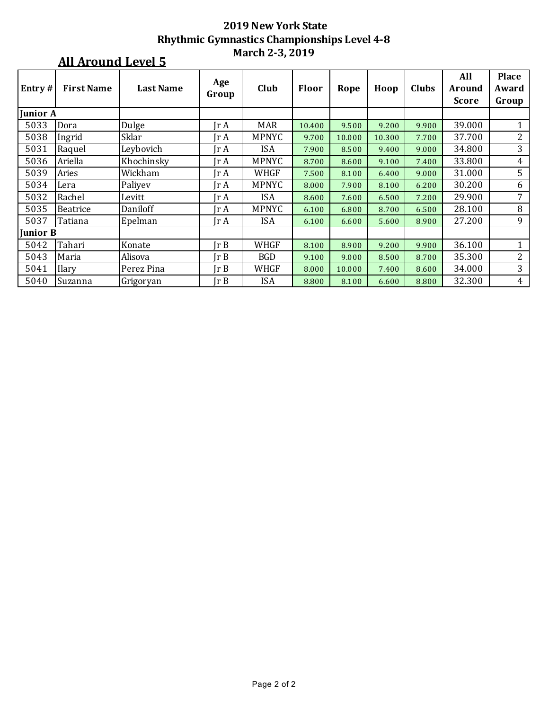### **All Around Level 5**

| <b>Entry#</b>   | <b>First Name</b> | <b>Last Name</b> | Age<br>Group                 | Club         | Floor  | Rope   | Hoop   | Clubs | All<br><b>Around</b> | <b>Place</b><br>Award |
|-----------------|-------------------|------------------|------------------------------|--------------|--------|--------|--------|-------|----------------------|-----------------------|
|                 |                   |                  |                              |              |        |        |        |       | <b>Score</b>         | Group                 |
| <b>Junior A</b> |                   |                  |                              |              |        |        |        |       |                      |                       |
| 5033            | Dora              | Dulge            | Ir A                         | <b>MAR</b>   | 10.400 | 9.500  | 9.200  | 9.900 | 39.000               |                       |
| 5038            | Ingrid            | Sklar            | Ir A                         | <b>MPNYC</b> | 9.700  | 10.000 | 10.300 | 7.700 | 37.700               | $\overline{2}$        |
| 5031            | Raquel            | Leybovich        | Ir A                         | <b>ISA</b>   | 7.900  | 8.500  | 9.400  | 9.000 | 34.800               | 3                     |
| 5036            | Ariella           | Khochinsky       | Ir A                         | <b>MPNYC</b> | 8.700  | 8.600  | 9.100  | 7.400 | 33.800               | 4                     |
| 5039            | Aries             | Wickham          | Ir A                         | WHGF         | 7.500  | 8.100  | 6.400  | 9.000 | 31.000               | 5                     |
| 5034            | Lera              | Paliyev          | $\mathop{\rm Ir}\nolimits$ A | <b>MPNYC</b> | 8.000  | 7.900  | 8.100  | 6.200 | 30.200               | 6                     |
| 5032            | Rachel            | Levitt           | Jr A                         | <b>ISA</b>   | 8.600  | 7.600  | 6.500  | 7.200 | 29.900               | 7                     |
| 5035            | Beatrice          | Daniloff         | $\mathop{\rm Ir}\nolimits$ A | <b>MPNYC</b> | 6.100  | 6.800  | 8.700  | 6.500 | 28.100               | 8                     |
| 5037            | Tatiana           | Epelman          | Ir A                         | <b>ISA</b>   | 6.100  | 6.600  | 5.600  | 8.900 | 27.200               | 9                     |
| Junior B        |                   |                  |                              |              |        |        |        |       |                      |                       |
| 5042            | Tahari            | Konate           | Ir B                         | WHGF         | 8.100  | 8.900  | 9.200  | 9.900 | 36.100               | 1                     |
| 5043            | Maria             | Alisova          | Ir B                         | <b>BGD</b>   | 9.100  | 9.000  | 8.500  | 8.700 | 35.300               | $\overline{2}$        |
| 5041            | Ilary             | Perez Pina       | Ir B                         | WHGF         | 8.000  | 10.000 | 7.400  | 8.600 | 34.000               | 3                     |
| 5040            | Suzanna           | Grigoryan        | Ir B                         | <b>ISA</b>   | 8.800  | 8.100  | 6.600  | 8.800 | 32.300               | 4                     |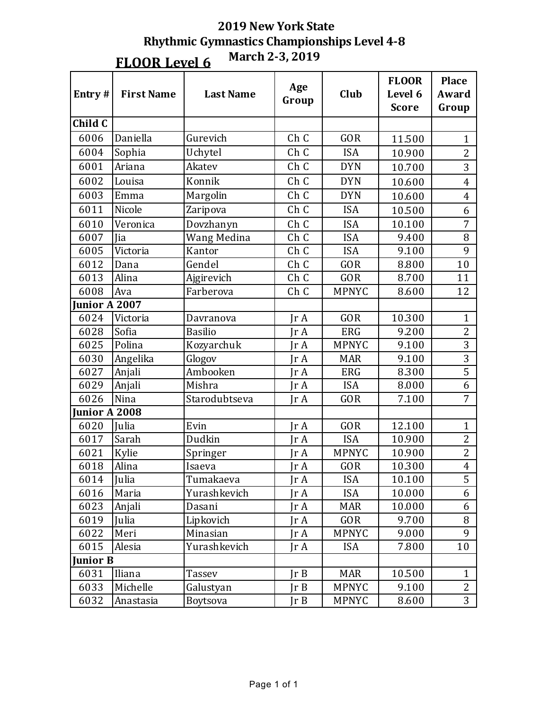| Entry#        | <b>First Name</b> | <b>Last Name</b> | Age<br>Group            | Club         | <b>FLOOR</b><br>Level 6<br><b>Score</b> | <b>Place</b><br>Award<br>Group |
|---------------|-------------------|------------------|-------------------------|--------------|-----------------------------------------|--------------------------------|
| Child C       |                   |                  |                         |              |                                         |                                |
| 6006          | Daniella          | Gurevich         | Ch C                    | <b>GOR</b>   | 11.500                                  | $\mathbf{1}$                   |
| 6004          | Sophia            | Uchytel          | Ch C                    | <b>ISA</b>   | 10.900                                  | $\overline{2}$                 |
| 6001          | Ariana            | Akatev           | Ch C                    | <b>DYN</b>   | 10.700                                  | 3                              |
| 6002          | Louisa            | Konnik           | Ch C                    | <b>DYN</b>   | 10.600                                  | $\overline{4}$                 |
| 6003          | Emma              | Margolin         | Ch C                    | <b>DYN</b>   | 10.600                                  | $\overline{4}$                 |
| 6011          | Nicole            | Zaripova         | Ch C                    | <b>ISA</b>   | 10.500                                  | 6                              |
| 6010          | Veronica          | Dovzhanyn        | Ch C                    | <b>ISA</b>   | 10.100                                  | 7                              |
| 6007          | Jia               | Wang Medina      | Ch C                    | <b>ISA</b>   | 9.400                                   | 8                              |
| 6005          | Victoria          | Kantor           | Ch C                    | <b>ISA</b>   | 9.100                                   | 9                              |
| 6012          | Dana              | Gendel           | Ch C                    | <b>GOR</b>   | 8.800                                   | 10                             |
| 6013          | Alina             | Ajgirevich       | Ch C                    | <b>GOR</b>   | 8.700                                   | 11                             |
| 6008          | Ava               | Farberova        | Ch C                    | <b>MPNYC</b> | 8.600                                   | 12                             |
| Junior A 2007 |                   |                  |                         |              |                                         |                                |
| 6024          | Victoria          | Davranova        | $\text{Tr }A$           | <b>GOR</b>   | 10.300                                  | $\mathbf{1}$                   |
| 6028          | Sofia             | <b>Basilio</b>   | IrA                     | <b>ERG</b>   | 9.200                                   | $\overline{2}$                 |
| 6025          | Polina            | Kozyarchuk       | $\text{Tr }A$           | <b>MPNYC</b> | 9.100                                   | 3                              |
| 6030          | Angelika          | Glogov           | IrA                     | <b>MAR</b>   | 9.100                                   | 3                              |
| 6027          | Anjali            | Ambooken         | $\text{Tr }A$           | <b>ERG</b>   | 8.300                                   | 5                              |
| 6029          | Anjali            | Mishra           | JrA                     | <b>ISA</b>   | 8.000                                   | 6                              |
| 6026          | Nina              | Starodubtseva    | IrA                     | GOR          | 7.100                                   | 7                              |
| Junior A 2008 |                   |                  |                         |              |                                         |                                |
| 6020          | Julia             | Evin             | IrA                     | <b>GOR</b>   | 12.100                                  | $\mathbf{1}$                   |
| 6017          | Sarah             | Dudkin           | IrA                     | <b>ISA</b>   | 10.900                                  | $\overline{2}$                 |
| 6021          | Kylie             | Springer         | Jr A                    | <b>MPNYC</b> | 10.900                                  | $\overline{2}$                 |
| 6018          | Alina             | Isaeva           | Jr A                    | <b>GOR</b>   | 10.300                                  | $\overline{4}$                 |
| 6014          | Julia             | Tumakaeva        | Jr A                    | <b>ISA</b>   | 10.100                                  | 5                              |
| 6016          | Maria             | Yurashkevich     | Jr A                    | <b>ISA</b>   | 10.000                                  | 6                              |
| 6023          | Anjali            | Dasani           | $\text{Tr } \mathbf{A}$ | <b>MAR</b>   | 10.000                                  | 6                              |
| 6019          | Julia             | Lipkovich        | JrA                     | GOR          | 9.700                                   | 8                              |
| 6022          | Meri              | Minasian         | IrA                     | <b>MPNYC</b> | 9.000                                   | 9                              |
| 6015          | Alesia            | Yurashkevich     | Jr A                    | <b>ISA</b>   | 7.800                                   | 10                             |
| Junior B      |                   |                  |                         |              |                                         |                                |
| 6031          | Iliana            | Tassev           | Ir B                    | <b>MAR</b>   | 10.500                                  | $\mathbf{1}$                   |
| 6033          | Michelle          | Galustyan        | Ir B                    | <b>MPNYC</b> | 9.100                                   | $\overline{2}$                 |
| 6032          | Anastasia         | Boytsova         | JrB                     | <b>MPNYC</b> | 8.600                                   | 3                              |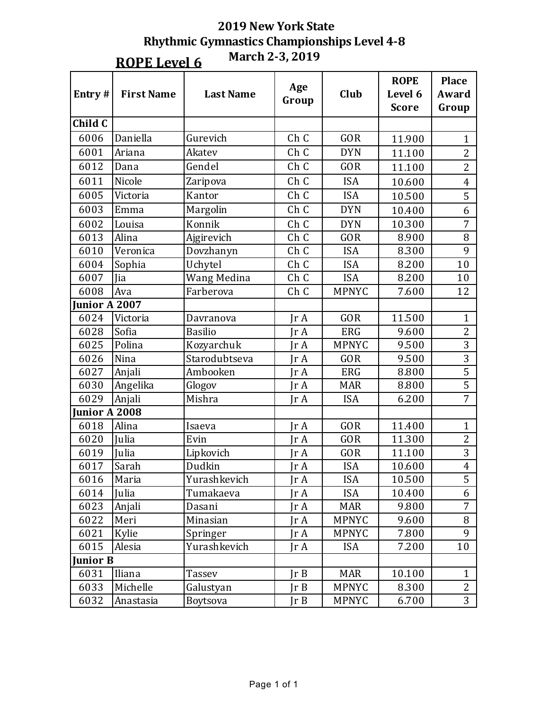**ROPE** Level 6

**March 2-3, 2019**

|                 |                   |                  |       |              | <b>ROPE</b>  | <b>Place</b>   |
|-----------------|-------------------|------------------|-------|--------------|--------------|----------------|
| Entry#          | <b>First Name</b> | <b>Last Name</b> | Age   | Club         | Level 6      | Award          |
|                 |                   |                  | Group |              | <b>Score</b> | Group          |
| Child C         |                   |                  |       |              |              |                |
| 6006            | Daniella          | Gurevich         | Ch C  | <b>GOR</b>   | 11.900       | $\mathbf{1}$   |
| 6001            | Ariana            | Akatev           | Ch C  | <b>DYN</b>   | 11.100       | $\overline{2}$ |
| 6012            | Dana              | Gendel           | Ch C  | <b>GOR</b>   | 11.100       | $\overline{2}$ |
| 6011            | Nicole            | Zaripova         | Ch C  | <b>ISA</b>   | 10.600       | $\overline{4}$ |
| 6005            | Victoria          | Kantor           | Ch C  | <b>ISA</b>   | 10.500       | 5              |
| 6003            | Emma              | Margolin         | Ch C  | <b>DYN</b>   | 10.400       | 6              |
| 6002            | Louisa            | Konnik           | Ch C  | <b>DYN</b>   | 10.300       | 7              |
| 6013            | Alina             | Ajgirevich       | Ch C  | GOR          | 8.900        | 8              |
| 6010            | Veronica          | Dovzhanyn        | Ch C  | <b>ISA</b>   | 8.300        | 9              |
| 6004            | Sophia            | Uchytel          | Ch C  | <b>ISA</b>   | 8.200        | 10             |
| 6007            | Jia               | Wang Medina      | Ch C  | <b>ISA</b>   | 8.200        | 10             |
| 6008            | Ava               | Farberova        | Ch C  | <b>MPNYC</b> | 7.600        | 12             |
| Junior A 2007   |                   |                  |       |              |              |                |
| 6024            | Victoria          | Davranova        | Jr A  | GOR          | 11.500       | $\mathbf{1}$   |
| 6028            | Sofia             | <b>Basilio</b>   | Jr A  | <b>ERG</b>   | 9.600        | $\overline{2}$ |
| 6025            | Polina            | Kozyarchuk       | Jr A  | <b>MPNYC</b> | 9.500        | 3              |
| 6026            | Nina              | Starodubtseva    | Jr A  | <b>GOR</b>   | 9.500        | 3              |
| 6027            | Anjali            | Ambooken         | Jr A  | <b>ERG</b>   | 8.800        | $\overline{5}$ |
| 6030            | Angelika          | Glogov           | Jr A  | <b>MAR</b>   | 8.800        | 5              |
| 6029            | Anjali            | Mishra           | Jr A  | <b>ISA</b>   | 6.200        | $\overline{7}$ |
| Junior A 2008   |                   |                  |       |              |              |                |
| 6018            | Alina             | Isaeva           | Jr A  | GOR          | 11.400       | $\mathbf{1}$   |
| 6020            | Julia             | Evin             | Jr A  | <b>GOR</b>   | 11.300       | $\overline{2}$ |
| 6019            | Julia             | Lipkovich        | Jr A  | GOR          | 11.100       | 3              |
| 6017            | Sarah             | Dudkin           | IrA   | <b>ISA</b>   | 10.600       | $\overline{4}$ |
| 6016            | Maria             | Yurashkevich     | Jr A  | <b>ISA</b>   | 10.500       | 5              |
| 6014            | Julia             | Tumakaeva        | Jr A  | <b>ISA</b>   | 10.400       | 6              |
| 6023            | Anjali            | Dasani           | Jr A  | <b>MAR</b>   | 9.800        | 7              |
| 6022            | Meri              | Minasian         | Jr A  | <b>MPNYC</b> | 9.600        | 8              |
| 6021            | Kylie             | Springer         | Jr A  | <b>MPNYC</b> | 7.800        | 9              |
| 6015            | Alesia            | Yurashkevich     | Jr A  | <b>ISA</b>   | 7.200        | 10             |
| <b>Junior B</b> |                   |                  |       |              |              |                |
| 6031            | Iliana            | <b>Tassev</b>    | JrB   | <b>MAR</b>   | 10.100       | $\mathbf{1}$   |
| 6033            | Michelle          | Galustyan        | Jr B  | <b>MPNYC</b> | 8.300        | $\overline{c}$ |
| 6032            | Anastasia         | Boytsova         | JrB   | <b>MPNYC</b> | 6.700        | 3              |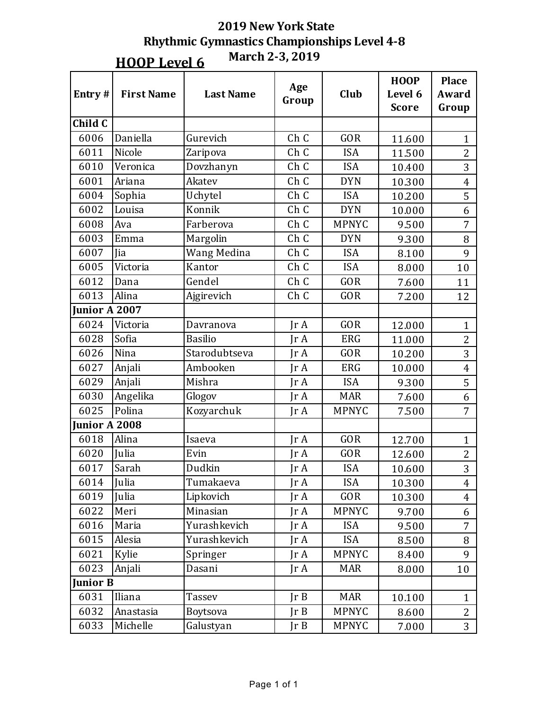## **2019 New York State Rhythmic Gymnastics Championships Level 4-8 HOOP Level 6** March 2-3, 2019

| Entry#          | <b>First Name</b> | <b>Last Name</b> | Age<br>Group  | Club         | <b>HOOP</b><br>Level 6<br><b>Score</b> | <b>Place</b><br><b>Award</b><br>Group |
|-----------------|-------------------|------------------|---------------|--------------|----------------------------------------|---------------------------------------|
| Child C         |                   |                  |               |              |                                        |                                       |
| 6006            | Daniella          | Gurevich         | Ch C          | <b>GOR</b>   | 11.600                                 | $\mathbf{1}$                          |
| 6011            | Nicole            | Zaripova         | Ch C          | <b>ISA</b>   | 11.500                                 | $\overline{2}$                        |
| 6010            | Veronica          | Dovzhanyn        | Ch C          | <b>ISA</b>   | 10.400                                 | 3                                     |
| 6001            | Ariana            | Akatev           | Ch C          | <b>DYN</b>   | 10.300                                 | $\overline{4}$                        |
| 6004            | Sophia            | Uchytel          | Ch C          | <b>ISA</b>   | 10.200                                 | 5                                     |
| 6002            | Louisa            | Konnik           | Ch C          | <b>DYN</b>   | 10.000                                 | 6                                     |
| 6008            | Ava               | Farberova        | Ch C          | <b>MPNYC</b> | 9.500                                  | $\overline{7}$                        |
| 6003            | Emma              | Margolin         | Ch C          | <b>DYN</b>   | 9.300                                  | 8                                     |
| 6007            | Jia               | Wang Medina      | Ch C          | <b>ISA</b>   | 8.100                                  | 9                                     |
| 6005            | Victoria          | Kantor           | Ch C          | <b>ISA</b>   | 8.000                                  | 10                                    |
| 6012            | Dana              | Gendel           | Ch C          | GOR          | 7.600                                  | 11                                    |
| 6013            | Alina             | Ajgirevich       | Ch C          | GOR          | 7.200                                  | 12                                    |
| Junior A 2007   |                   |                  |               |              |                                        |                                       |
| 6024            | Victoria          | Davranova        | $\text{Tr }A$ | GOR          | 12.000                                 | $\mathbf{1}$                          |
| 6028            | Sofia             | <b>Basilio</b>   | IrA           | <b>ERG</b>   | 11.000                                 | $\overline{c}$                        |
| 6026            | Nina              | Starodubtseva    | IrA           | GOR          | 10.200                                 | 3                                     |
| 6027            | Anjali            | Ambooken         | $\text{Tr }A$ | <b>ERG</b>   | 10.000                                 | $\overline{4}$                        |
| 6029            | Anjali            | Mishra           | IrA           | <b>ISA</b>   | 9.300                                  | 5                                     |
| 6030            | Angelika          | Glogov           | IrA           | <b>MAR</b>   | 7.600                                  | 6                                     |
| 6025            | Polina            | Kozyarchuk       | JrA           | <b>MPNYC</b> | 7.500                                  | $\overline{7}$                        |
| Junior A 2008   |                   |                  |               |              |                                        |                                       |
| 6018            | Alina             | Isaeva           | IrA           | GOR          | 12.700                                 | $\mathbf{1}$                          |
| 6020            | Julia             | Evin             | Jr A          | GOR          | 12.600                                 | $\overline{c}$                        |
| 6017            | Sarah             | Dudkin           | IrA           | <b>ISA</b>   | 10.600                                 | 3                                     |
| 6014            | Julia             | Tumakaeva        | JrA           | <b>ISA</b>   | 10.300                                 | $\overline{4}$                        |
| 6019            | Julia             | Lipkovich        | JrA           | GOR          | 10.300                                 | $\overline{4}$                        |
| 6022            | Meri              | Minasian         | JrA           | <b>MPNYC</b> | 9.700                                  | 6                                     |
| 6016            | Maria             | Yurashkevich     | Jr A          | <b>ISA</b>   | 9.500                                  | $\overline{7}$                        |
| 6015            | Alesia            | Yurashkevich     | $\text{Tr }A$ | <b>ISA</b>   | 8.500                                  | 8                                     |
| 6021            | Kylie             | Springer         | Jr A          | <b>MPNYC</b> | 8.400                                  | 9                                     |
| 6023            | Anjali            | Dasani           | Jr A          | <b>MAR</b>   | 8.000                                  | 10                                    |
| <b>Junior B</b> |                   |                  |               |              |                                        |                                       |
| 6031            | Iliana            | <b>Tassev</b>    | Ir B          | <b>MAR</b>   | 10.100                                 | $\mathbf{1}$                          |
| 6032            | Anastasia         | Boytsova         | JrB           | <b>MPNYC</b> | 8.600                                  | $\overline{2}$                        |
| 6033            | Michelle          | Galustyan        | JrB           | <b>MPNYC</b> | 7.000                                  | 3                                     |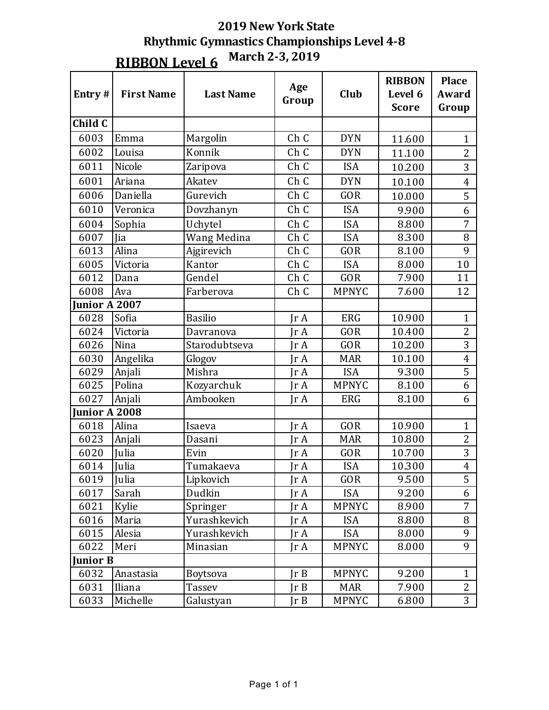| Entry#          | <b>First Name</b> | <b>Last Name</b> | Age<br>Group | Club         | <b>RIBBON</b><br>Level 6<br><b>Score</b> | <b>Place</b><br>Award<br>Group |
|-----------------|-------------------|------------------|--------------|--------------|------------------------------------------|--------------------------------|
| Child C         |                   |                  |              |              |                                          |                                |
| 6003            | Emma              | Margolin         | Ch C         | <b>DYN</b>   | 11.600                                   | $\mathbf{1}$                   |
| 6002            | Louisa            | Konnik           | Ch C         | <b>DYN</b>   | 11.100                                   | $\overline{2}$                 |
| 6011            | Nicole            | Zaripova         | Ch C         | <b>ISA</b>   | 10.200                                   | $\overline{3}$                 |
| 6001            | Ariana            | Akatev           | Ch C         | <b>DYN</b>   | 10.100                                   | $\overline{\mathbf{4}}$        |
| 6006            | Daniella          | Gurevich         | Ch C         | <b>GOR</b>   | 10.000                                   | 5                              |
| 6010            | Veronica          | Dovzhanyn        | Ch C         | <b>ISA</b>   | 9.900                                    | 6                              |
| 6004            | Sophia            | Uchytel          | Ch C         | <b>ISA</b>   | 8.800                                    | 7                              |
| 6007            | Jia               | Wang Medina      | Ch C         | <b>ISA</b>   | 8.300                                    | 8                              |
| 6013            | Alina             | Ajgirevich       | Ch C         | GOR          | 8.100                                    | 9                              |
| 6005            | Victoria          | Kantor           | Ch C         | <b>ISA</b>   | 8.000                                    | 10                             |
| 6012            | Dana              | Gendel           | Ch C         | GOR          | 7.900                                    | 11                             |
| 6008            | Ava               | Farberova        | Ch C         | <b>MPNYC</b> | 7.600                                    | 12                             |
| Junior A 2007   |                   |                  |              |              |                                          |                                |
| 6028            | Sofia             | <b>Basilio</b>   | IrA          | <b>ERG</b>   | 10.900                                   | $\mathbf{1}$                   |
| 6024            | Victoria          | Davranova        | Ir A         | GOR          | 10.400                                   | $\overline{2}$                 |
| 6026            | Nina              | Starodubtseva    | Jr A         | <b>GOR</b>   | 10.200                                   | 3                              |
| 6030            | Angelika          | Glogov           | Jr A         | <b>MAR</b>   | 10.100                                   | $\overline{\mathbf{4}}$        |
| 6029            | Anjali            | Mishra           | Jr A         | <b>ISA</b>   | 9.300                                    | $\overline{5}$                 |
| 6025            | Polina            | Kozyarchuk       | Jr A         | <b>MPNYC</b> | 8.100                                    | 6                              |
| 6027            | Anjali            | Ambooken         | IrA          | <b>ERG</b>   | 8.100                                    | 6                              |
| Junior A 2008   |                   |                  |              |              |                                          |                                |
| 6018            | Alina             | Isaeva           | IrA          | <b>GOR</b>   | 10.900                                   | $\mathbf{1}$                   |
| 6023            | Anjali            | Dasani           | Jr A         | <b>MAR</b>   | 10.800                                   | $\overline{2}$                 |
| 6020            | Julia             | Evin             | Jr A         | GOR          | 10.700                                   | 3                              |
| 6014            | Julia             | Tumakaeva        | Jr A         | <b>ISA</b>   | 10.300                                   | $\overline{4}$                 |
| 6019            | Julia             | Lipkovich        | IrA          | GOR          | 9.500                                    | 5                              |
| 6017            | Sarah             | Dudkin           | Jr A         | <b>ISA</b>   | 9.200                                    | 6                              |
| 6021            | Kylie             | Springer         | IrA          | <b>MPNYC</b> | 8.900                                    | $\overline{7}$                 |
| 6016            | Maria             | Yurashkevich     | Jr A         | <b>ISA</b>   | 8.800                                    | 8                              |
| 6015            | Alesia            | Yurashkevich     | Jr A         | <b>ISA</b>   | 8.000                                    | 9                              |
| 6022            | Meri              | Minasian         | Jr A         | <b>MPNYC</b> | 8.000                                    | 9                              |
| <b>Junior B</b> |                   |                  |              |              |                                          |                                |
| 6032            | Anastasia         | <b>Boytsova</b>  | Ir B         | <b>MPNYC</b> | 9.200                                    | $\mathbf{1}$                   |
| 6031            | Iliana            | Tassev           | Jr B         | <b>MAR</b>   | 7.900                                    | $\overline{2}$                 |
| 6033            | Michelle          | Galustyan        | Jr B         | <b>MPNYC</b> | 6.800                                    | 3                              |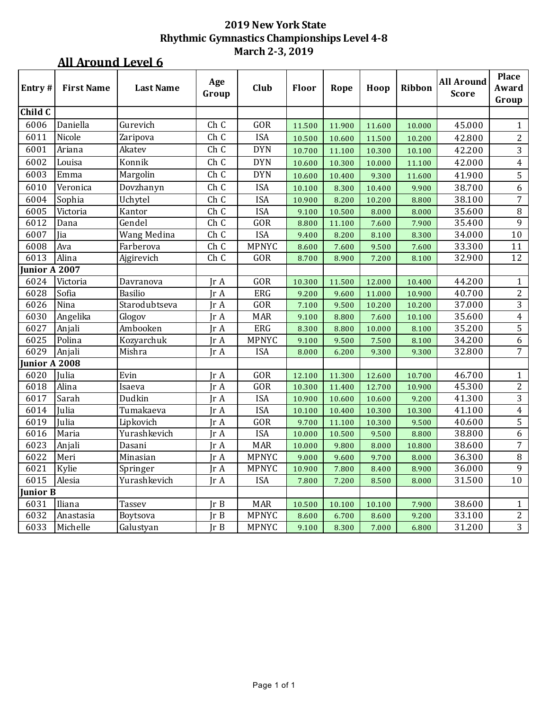### **All Around Level 6**

| Entry#          | <b>First Name</b> | <b>Last Name</b> | Age   | Club         | <b>Floor</b> | Rope   | Hoop   | Ribbon | <b>All Around</b> | Place<br>Award   |
|-----------------|-------------------|------------------|-------|--------------|--------------|--------|--------|--------|-------------------|------------------|
|                 |                   |                  | Group |              |              |        |        |        | <b>Score</b>      | Group            |
| Child C         |                   |                  |       |              |              |        |        |        |                   |                  |
| 6006            | Daniella          | Gurevich         | Ch C  | <b>GOR</b>   | 11.500       | 11.900 | 11.600 | 10.000 | 45.000            | 1                |
| 6011            | Nicole            | Zaripova         | Ch C  | <b>ISA</b>   | 10.500       | 10.600 | 11.500 | 10.200 | 42.800            | $\overline{2}$   |
| 6001            | Ariana            | Akatev           | Ch C  | <b>DYN</b>   | 10.700       | 11.100 | 10.300 | 10.100 | 42.200            | 3                |
| 6002            | Louisa            | Konnik           | Ch C  | <b>DYN</b>   | 10.600       | 10.300 | 10.000 | 11.100 | 42.000            | $\overline{4}$   |
| 6003            | Emma              | Margolin         | Ch C  | <b>DYN</b>   | 10.600       | 10.400 | 9.300  | 11.600 | 41.900            | 5                |
| 6010            | Veronica          | Dovzhanyn        | Ch C  | <b>ISA</b>   | 10.100       | 8.300  | 10.400 | 9.900  | 38.700            | $\boldsymbol{6}$ |
| 6004            | Sophia            | Uchytel          | Ch C  | <b>ISA</b>   | 10.900       | 8.200  | 10.200 | 8.800  | 38.100            | $\overline{7}$   |
| 6005            | Victoria          | Kantor           | Ch C  | <b>ISA</b>   | 9.100        | 10.500 | 8.000  | 8.000  | 35.600            | $\, 8$           |
| 6012            | Dana              | Gendel           | Ch C  | GOR          | 8.800        | 11.100 | 7.600  | 7.900  | 35.400            | $\overline{9}$   |
| 6007            | Jia               | Wang Medina      | Ch C  | <b>ISA</b>   | 9.400        | 8.200  | 8.100  | 8.300  | 34.000            | 10               |
| 6008            | Ava               | Farberova        | Ch C  | <b>MPNYC</b> | 8.600        | 7.600  | 9.500  | 7.600  | 33.300            | 11               |
| 6013            | Alina             | Ajgirevich       | Ch C  | GOR          | 8.700        | 8.900  | 7.200  | 8.100  | 32.900            | 12               |
| Junior A 2007   |                   |                  |       |              |              |        |        |        |                   |                  |
| 6024            | Victoria          | Davranova        | Jr A  | GOR          | 10.300       | 11.500 | 12.000 | 10.400 | 44.200            | $\mathbf{1}$     |
| 6028            | Sofia             | <b>Basilio</b>   | Jr A  | ERG          | 9.200        | 9.600  | 11.000 | 10.900 | 40.700            | $\overline{c}$   |
| 6026            | Nina              | Starodubtseva    | IrA   | GOR          | 7.100        | 9.500  | 10.200 | 10.200 | 37.000            | 3                |
| 6030            | Angelika          | Glogov           | Jr A  | <b>MAR</b>   | 9.100        | 8.800  | 7.600  | 10.100 | 35.600            | $\overline{4}$   |
| 6027            | Anjali            | Ambooken         | IrA   | ERG          | 8.300        | 8.800  | 10.000 | 8.100  | 35.200            | 5                |
| 6025            | Polina            | Kozyarchuk       | Jr A  | <b>MPNYC</b> | 9.100        | 9.500  | 7.500  | 8.100  | 34.200            | 6                |
| 6029            | Anjali            | Mishra           | IrA   | <b>ISA</b>   | 8.000        | 6.200  | 9.300  | 9.300  | 32.800            | $\overline{7}$   |
| Junior A 2008   |                   |                  |       |              |              |        |        |        |                   |                  |
| 6020            | Julia             | Evin             | IrA   | <b>GOR</b>   | 12.100       | 11.300 | 12.600 | 10.700 | 46.700            | 1                |
| 6018            | Alina             | Isaeva           | Jr A  | GOR          | 10.300       | 11.400 | 12.700 | 10.900 | 45.300            | $\overline{c}$   |
| 6017            | Sarah             | Dudkin           | Ir A  | <b>ISA</b>   | 10.900       | 10.600 | 10.600 | 9.200  | 41.300            | $\overline{3}$   |
| 6014            | Julia             | Tumakaeva        | IrA   | <b>ISA</b>   | 10.100       | 10.400 | 10.300 | 10.300 | 41.100            | $\overline{4}$   |
| 6019            | Julia             | Lipkovich        | Jr A  | <b>GOR</b>   | 9.700        | 11.100 | 10.300 | 9.500  | 40.600            | $\overline{5}$   |
| 6016            | Maria             | Yurashkevich     | IrA   | <b>ISA</b>   | 10.000       | 10.500 | 9.500  | 8.800  | 38.800            | $\boldsymbol{6}$ |
| 6023            | Anjali            | Dasani           | Jr A  | <b>MAR</b>   | 10.000       | 9.800  | 8.000  | 10.800 | 38.600            | $\overline{7}$   |
| 6022            | Meri              | Minasian         | IrA   | <b>MPNYC</b> | 9.000        | 9.600  | 9.700  | 8.000  | 36.300            | $\, 8$           |
| 6021            | Kylie             | Springer         | Jr A  | <b>MPNYC</b> | 10.900       | 7.800  | 8.400  | 8.900  | 36.000            | 9                |
| 6015            | Alesia            | Yurashkevich     | Jr A  | <b>ISA</b>   | 7.800        | 7.200  | 8.500  | 8.000  | 31.500            | 10               |
| <b>Junior B</b> |                   |                  |       |              |              |        |        |        |                   |                  |
| 6031            | Iliana            | <b>Tassev</b>    | Ir B  | <b>MAR</b>   | 10.500       | 10.100 | 10.100 | 7.900  | 38.600            | 1                |
| 6032            | Anastasia         | Boytsova         | IrB   | <b>MPNYC</b> | 8.600        | 6.700  | 8.600  | 9.200  | 33.100            | $\overline{2}$   |
| 6033            | Michelle          | Galustyan        | IrB   | <b>MPNYC</b> | 9.100        | 8.300  | 7.000  | 6.800  | 31.200            | 3                |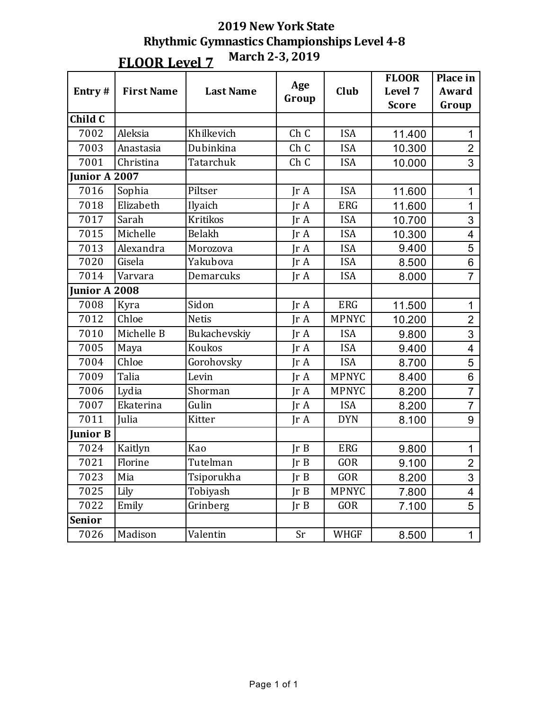| Entry#          | <b>First Name</b> | <b>Last Name</b> | Age<br>Group  | Club         | <b>FLOOR</b><br>Level 7<br><b>Score</b> | Place in<br><b>Award</b><br>Group |
|-----------------|-------------------|------------------|---------------|--------------|-----------------------------------------|-----------------------------------|
| Child C         |                   |                  |               |              |                                         |                                   |
| 7002            | Aleksia           | Khilkevich       | Ch C          | <b>ISA</b>   | 11.400                                  | $\mathbf{1}$                      |
| 7003            | Anastasia         | Dubinkina        | Ch C          | <b>ISA</b>   | 10.300                                  | $\overline{2}$                    |
| 7001            | Christina         | Tatarchuk        | Ch C          | <b>ISA</b>   | 10.000                                  | 3                                 |
| Junior A 2007   |                   |                  |               |              |                                         |                                   |
| 7016            | Sophia            | Piltser          | IrA           | <b>ISA</b>   | 11.600                                  | $\mathbf 1$                       |
| 7018            | Elizabeth         | Ilyaich          | IrA           | <b>ERG</b>   | 11.600                                  | $\mathbf 1$                       |
| 7017            | Sarah             | <b>Kritikos</b>  | IrA           | <b>ISA</b>   | 10.700                                  | 3                                 |
| 7015            | Michelle          | Belakh           | IrA           | <b>ISA</b>   | 10.300                                  | 4                                 |
| 7013            | Alexandra         | Morozova         | IrA           | <b>ISA</b>   | 9.400                                   | 5                                 |
| 7020            | Gisela            | Yakubova         | $\text{Tr }A$ | <b>ISA</b>   | 8.500                                   | 6                                 |
| 7014            | Varvara           | Demarcuks        | IrA           | <b>ISA</b>   | 8.000                                   | $\overline{7}$                    |
| Junior A 2008   |                   |                  |               |              |                                         |                                   |
| 7008            | Kyra              | Sidon            | IrA           | <b>ERG</b>   | 11.500                                  | $\mathbf 1$                       |
| 7012            | Chloe             | <b>Netis</b>     | IrA           | <b>MPNYC</b> | 10.200                                  | $\overline{2}$                    |
| 7010            | Michelle B        | Bukachevskiy     | IrA           | <b>ISA</b>   | 9.800                                   | 3                                 |
| 7005            | Maya              | Koukos           | IrA           | <b>ISA</b>   | 9.400                                   | 4                                 |
| 7004            | Chloe             | Gorohovsky       | IrA           | <b>ISA</b>   | 8.700                                   | 5                                 |
| 7009            | Talia             | Levin            | IrA           | <b>MPNYC</b> | 8.400                                   | 6                                 |
| 7006            | Lydia             | Shorman          | $\text{Tr }A$ | <b>MPNYC</b> | 8.200                                   | $\overline{7}$                    |
| 7007            | Ekaterina         | Gulin            | IrA           | <b>ISA</b>   | 8.200                                   | $\overline{7}$                    |
| 7011            | Julia             | Kitter           | $\text{Tr }A$ | <b>DYN</b>   | 8.100                                   | 9                                 |
| <b>Junior B</b> |                   |                  |               |              |                                         |                                   |
| 7024            | Kaitlyn           | Kao              | Ir B          | <b>ERG</b>   | 9.800                                   | $\mathbf{1}$                      |
| 7021            | Florine           | Tutelman         | Ir B          | GOR          | 9.100                                   | $\overline{2}$                    |
| 7023            | Mia               | Tsiporukha       | Ir B          | GOR          | 8.200                                   | 3                                 |
| 7025            | Lily              | Tobiyash         | JrB           | <b>MPNYC</b> | 7.800                                   | 4                                 |
| 7022            | Emily             | Grinberg         | JrB           | GOR          | 7.100                                   | 5                                 |
| <b>Senior</b>   |                   |                  |               |              |                                         |                                   |
| 7026            | Madison           | Valentin         | Sr            | WHGF         | 8.500                                   | $\mathbf{1}$                      |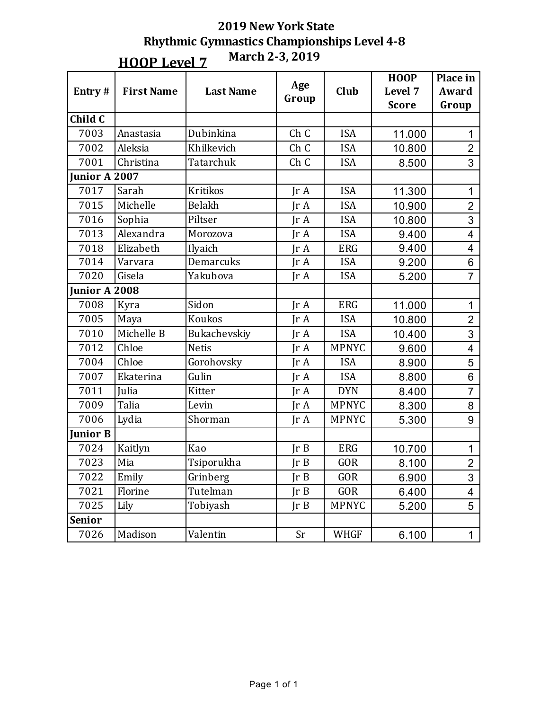**HOOP** Level 7

|                 |                   |                  |                         |              | <b>HOOP</b>  | Place in                |
|-----------------|-------------------|------------------|-------------------------|--------------|--------------|-------------------------|
| Entry#          | <b>First Name</b> | <b>Last Name</b> | Age                     | Club         | Level 7      | Award                   |
|                 |                   |                  | Group                   |              | <b>Score</b> | Group                   |
| Child C         |                   |                  |                         |              |              |                         |
| 7003            | Anastasia         | Dubinkina        | Ch C                    | <b>ISA</b>   | 11.000       | 1                       |
| 7002            | Aleksia           | Khilkevich       | Ch C                    | <b>ISA</b>   | 10.800       | $\overline{2}$          |
| 7001            | Christina         | Tatarchuk        | Ch C                    | <b>ISA</b>   | 8.500        | 3                       |
| Junior A 2007   |                   |                  |                         |              |              |                         |
| 7017            | Sarah             | <b>Kritikos</b>  | Jr A                    | <b>ISA</b>   | 11.300       | $\mathbf 1$             |
| 7015            | Michelle          | Belakh           | $\text{Tr }A$           | <b>ISA</b>   | 10.900       | $\overline{2}$          |
| 7016            | Sophia            | Piltser          | $\text{Tr } \mathbf{A}$ | <b>ISA</b>   | 10.800       | 3                       |
| 7013            | Alexandra         | Morozova         | $\text{Tr }A$           | <b>ISA</b>   | 9.400        | $\overline{\mathbf{4}}$ |
| 7018            | Elizabeth         | Ilyaich          | IrA                     | <b>ERG</b>   | 9.400        | 4                       |
| 7014            | Varvara           | Demarcuks        | IrA                     | <b>ISA</b>   | 9.200        | 6                       |
| 7020            | Gisela            | Yakubova         | $\text{Tr }A$           | <b>ISA</b>   | 5.200        | $\overline{7}$          |
| Junior A 2008   |                   |                  |                         |              |              |                         |
| 7008            | Kyra              | Sidon            | IrA                     | <b>ERG</b>   | 11.000       | $\mathbf{1}$            |
| 7005            | Maya              | Koukos           | IrA                     | <b>ISA</b>   | 10.800       | $\overline{2}$          |
| 7010            | Michelle B        | Bukachevskiy     | IrA                     | <b>ISA</b>   | 10.400       | 3                       |
| 7012            | Chloe             | <b>Netis</b>     | $\text{Tr }A$           | <b>MPNYC</b> | 9.600        | 4                       |
| 7004            | Chloe             | Gorohovsky       | IrA                     | <b>ISA</b>   | 8.900        | 5                       |
| 7007            | Ekaterina         | Gulin            | IrA                     | <b>ISA</b>   | 8.800        | 6                       |
| 7011            | Julia             | Kitter           | IrA                     | <b>DYN</b>   | 8.400        | $\overline{7}$          |
| 7009            | Talia             | Levin            | JrA                     | <b>MPNYC</b> | 8.300        | 8                       |
| 7006            | Lydia             | Shorman          | $\text{Tr }A$           | <b>MPNYC</b> | 5.300        | 9                       |
| <b>Junior B</b> |                   |                  |                         |              |              |                         |
| 7024            | Kaitlyn           | Kao              | Ir B                    | <b>ERG</b>   | 10.700       | 1                       |
| 7023            | Mia               | Tsiporukha       | JrB                     | <b>GOR</b>   | 8.100        | $\overline{2}$          |
| 7022            | Emily             | Grinberg         | JrB                     | GOR          | 6.900        | 3                       |
| 7021            | Florine           | Tutelman         | JrB                     | GOR          | 6.400        | 4                       |
| 7025            | Lily              | Tobiyash         | JrB                     | <b>MPNYC</b> | 5.200        | 5                       |
| <b>Senior</b>   |                   |                  |                         |              |              |                         |
| 7026            | Madison           | Valentin         | Sr                      | <b>WHGF</b>  | 6.100        | $\mathbf 1$             |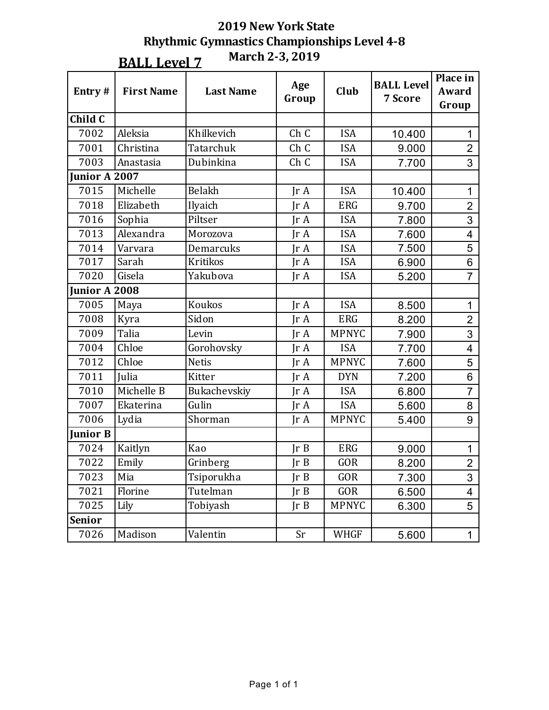| Entry#          | <b>First Name</b> | <b>Last Name</b> | Age<br>Group                | Club         | <b>BALL Level</b><br>7 Score | Place in<br>Award<br>Group |
|-----------------|-------------------|------------------|-----------------------------|--------------|------------------------------|----------------------------|
| Child C         |                   |                  |                             |              |                              |                            |
| 7002            | Aleksia           | Khilkevich       | Ch C                        | <b>ISA</b>   | 10.400                       | 1                          |
| 7001            | Christina         | Tatarchuk        | Ch C                        | <b>ISA</b>   | 9.000                        | $\overline{2}$             |
| 7003            | Anastasia         | Dubinkina        | Ch C<br><b>ISA</b><br>7.700 |              | 3                            |                            |
| Junior A 2007   |                   |                  |                             |              |                              |                            |
| 7015            | Michelle          | Belakh           | IrA                         | <b>ISA</b>   | 10.400                       | $\mathbf{1}$               |
| 7018            | Elizabeth         | Ilyaich          | IrA                         | <b>ERG</b>   | 9.700                        | $\overline{2}$             |
| 7016            | Sophia            | Piltser          | IrA                         | <b>ISA</b>   | 7.800                        | 3                          |
| 7013            | Alexandra         | Morozova         | IrA                         | <b>ISA</b>   | 7.600                        | 4                          |
| 7014            | Varvara           | Demarcuks        | IrA                         | <b>ISA</b>   | 7.500                        | 5                          |
| 7017            | Sarah             | <b>Kritikos</b>  | IrA                         | <b>ISA</b>   | 6.900                        | 6                          |
| 7020            | Gisela            | Yakubova         | $\text{Tr }A$               | <b>ISA</b>   | 5.200                        | $\overline{7}$             |
| Junior A 2008   |                   |                  |                             |              |                              |                            |
| 7005            | Maya              | Koukos           | IrA                         | <b>ISA</b>   | 8.500                        | $\mathbf{1}$               |
| 7008            | Kyra              | Sidon            | $\text{Tr }A$               | <b>ERG</b>   | 8.200                        | $\overline{2}$             |
| 7009            | Talia             | Levin            | $\text{Tr }A$               | <b>MPNYC</b> | 7.900                        | $\overline{3}$             |
| 7004            | Chloe             | Gorohovsky       | $\text{Tr }A$               | <b>ISA</b>   | 7.700                        | 4                          |
| 7012            | Chloe             | <b>Netis</b>     | IrA                         | <b>MPNYC</b> | 7.600                        | 5                          |
| 7011            | Julia             | Kitter           | IrA                         | <b>DYN</b>   | 7.200                        | 6                          |
| 7010            | Michelle B        | Bukachevskiy     | IrA                         | <b>ISA</b>   | 6.800                        | $\overline{7}$             |
| 7007            | Ekaterina         | Gulin            | IrA                         | <b>ISA</b>   | 5.600                        | 8                          |
| 7006            | Lydia             | Shorman          | $\text{Tr }A$               | <b>MPNYC</b> | 5.400                        | 9                          |
| <b>Junior B</b> |                   |                  |                             |              |                              |                            |
| 7024            | Kaitlyn           | Kao              | $\text{Tr } B$              | <b>ERG</b>   | 9.000                        | 1                          |
| 7022            | Emily             | Grinberg         | JrB                         | <b>GOR</b>   | 8.200                        | $\overline{2}$             |
| 7023            | Mia               | Tsiporukha       | JrB                         | GOR          | 7.300                        | 3                          |
| 7021            | Florine           | Tutelman         | Ir B                        | GOR          | 6.500                        | 4                          |
| 7025            | Lily              | Tobiyash         | Ir B                        | <b>MPNYC</b> | 6.300                        | 5                          |
| <b>Senior</b>   |                   |                  |                             |              |                              |                            |
| 7026            | Madison           | Valentin         | Sr                          | <b>WHGF</b>  | 5.600                        | $\mathbf 1$                |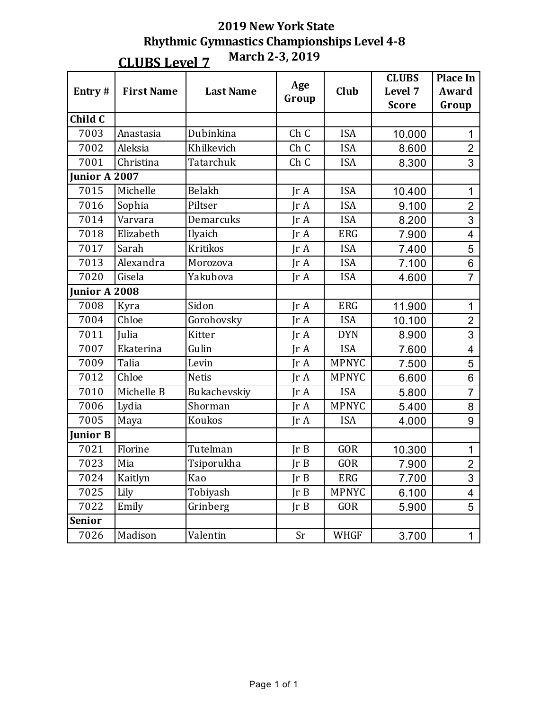| Entry#               | <b>First Name</b> | <b>Last Name</b> | Age<br>Group  | Club         | <b>CLUBS</b><br>Level 7 | <b>Place In</b><br>Award |
|----------------------|-------------------|------------------|---------------|--------------|-------------------------|--------------------------|
|                      |                   |                  |               |              | <b>Score</b>            | Group                    |
| Child $\overline{C}$ |                   |                  |               |              |                         |                          |
| 7003                 | Anastasia         | Dubinkina        | Ch C          | <b>ISA</b>   | 10.000                  | 1                        |
| 7002                 | Aleksia           | Khilkevich       | Ch C          | <b>ISA</b>   | 8.600                   | $\overline{2}$           |
| 7001                 | Christina         | Tatarchuk        | Ch C          | <b>ISA</b>   | 8.300                   | 3                        |
| Junior A $2007$      |                   |                  |               |              |                         |                          |
| 7015                 | Michelle          | Belakh           | IrA           | <b>ISA</b>   | 10.400                  | $\mathbf{1}$             |
| 7016                 | Sophia            | Piltser          | IrA           | <b>ISA</b>   | 9.100                   | $\overline{2}$           |
| 7014                 | Varvara           | Demarcuks        | IrA           | <b>ISA</b>   | 8.200                   | 3                        |
| 7018                 | Elizabeth         | Ilyaich          | IrA           | <b>ERG</b>   | 7.900                   | $\overline{4}$           |
| 7017                 | Sarah             | <b>Kritikos</b>  | IrA           | <b>ISA</b>   | 7.400                   | 5                        |
| 7013                 | Alexandra         | Morozova         | IrA           | <b>ISA</b>   | 7.100                   | 6                        |
| 7020                 | Gisela            | Yakubova         | Ir A          | <b>ISA</b>   | 4.600                   | $\overline{7}$           |
| Junior A 2008        |                   |                  |               |              |                         |                          |
| 7008                 | Kyra              | Sidon            | $\text{Tr }A$ | <b>ERG</b>   | 11.900                  | 1                        |
| 7004                 | Chloe             | Gorohovsky       | IrA           | <b>ISA</b>   | 10.100                  | $\overline{2}$           |
| 7011                 | Julia             | <b>Kitter</b>    | IrA           | <b>DYN</b>   | 8.900                   | 3                        |
| 7007                 | Ekaterina         | Gulin            | IrA           | <b>ISA</b>   | 7.600                   | 4                        |
| 7009                 | Talia             | Levin            | IrA           | <b>MPNYC</b> | 7.500                   | 5                        |
| 7012                 | Chloe             | <b>Netis</b>     | IrA           | <b>MPNYC</b> | 6.600                   | $6\phantom{1}6$          |
| 7010                 | Michelle B        | Bukachevskiy     | IrA           | <b>ISA</b>   | 5.800                   | $\overline{7}$           |
| 7006                 | Lydia             | Shorman          | IrA           | <b>MPNYC</b> | 5.400                   | 8                        |
| 7005                 | Maya              | Koukos           | $\text{Tr }A$ | <b>ISA</b>   | 4.000                   | 9                        |
| <b>Junior B</b>      |                   |                  |               |              |                         |                          |
| 7021                 | Florine           | Tutelman         | Ir B          | <b>GOR</b>   | 10.300                  | $\mathbf{1}$             |
| 7023                 | Mia               | Tsiporukha       | JrB           | GOR          | 7.900                   | $\overline{2}$           |
| 7024                 | Kaitlyn           | Kao              | Ir B          | ERG          | 7.700                   | 3                        |
| 7025                 | Lily              | Tobiyash         | JrB           | <b>MPNYC</b> | 6.100                   | $\overline{4}$           |
| 7022                 | Emily             | Grinberg         | JrB           | GOR          | 5.900                   | 5                        |
| <b>Senior</b>        |                   |                  |               |              |                         |                          |
| 7026                 | Madison           | Valentin         | Sr            | <b>WHGF</b>  | 3.700                   | $\mathbf 1$              |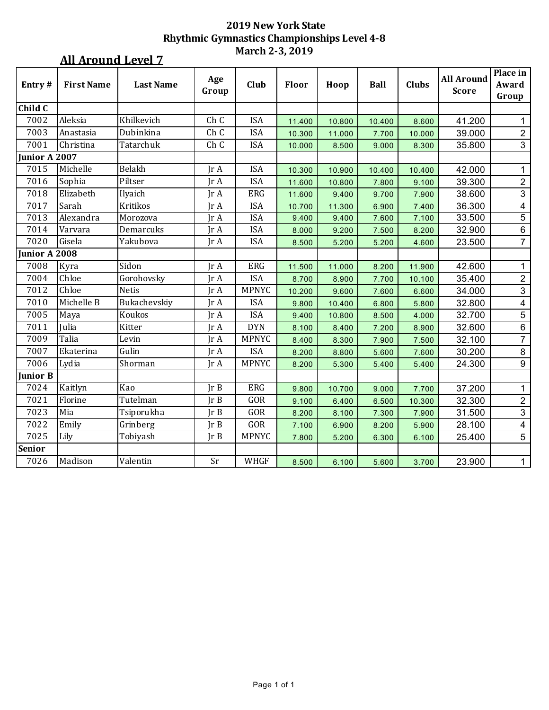### **All Around Level 7**

| Entry#          | <b>First Name</b> | <b>Last Name</b> | Age     | Club         | Floor  | Hoop   | <b>Ball</b> | <b>Clubs</b> | <b>All Around</b> | Place in<br>Award |
|-----------------|-------------------|------------------|---------|--------------|--------|--------|-------------|--------------|-------------------|-------------------|
|                 |                   |                  | Group   |              |        |        |             |              | <b>Score</b>      | Group             |
| Child C         |                   |                  |         |              |        |        |             |              |                   |                   |
| 7002            | Aleksia           | Khilkevich       | Ch C    | <b>ISA</b>   | 11.400 | 10.800 | 10.400      | 8.600        | 41.200            | 1                 |
| 7003            | Anastasia         | Dubinkina        | Ch C    | <b>ISA</b>   | 10.300 | 11.000 | 7.700       | 10.000       | 39.000            | $\overline{2}$    |
| 7001            | Christina         | Tatarchuk        | Ch C    | <b>ISA</b>   | 10.000 | 8.500  | 9.000       | 8.300        | 35.800            | $\mathbf{3}$      |
| Junior A 2007   |                   |                  |         |              |        |        |             |              |                   |                   |
| 7015            | Michelle          | Belakh           | Jr A    | <b>ISA</b>   | 10.300 | 10.900 | 10.400      | 10.400       | 42.000            | 1                 |
| 7016            | Sophia            | Piltser          | Jr A    | <b>ISA</b>   | 11.600 | 10.800 | 7.800       | 9.100        | 39.300            | $\overline{c}$    |
| 7018            | Elizabeth         | Ilyaich          | Ir A    | ERG          | 11.600 | 9.400  | 9.700       | 7.900        | 38.600            | $\mathbf{3}$      |
| 7017            | Sarah             | <b>Kritikos</b>  | Jr A    | <b>ISA</b>   | 10.700 | 11.300 | 6.900       | 7.400        | 36.300            | $\overline{4}$    |
| 7013            | Alexandra         | Morozova         | Jr A    | <b>ISA</b>   | 9.400  | 9.400  | 7.600       | 7.100        | 33.500            | $\overline{5}$    |
| 7014            | Varvara           | Demarcuks        | Jr A    | <b>ISA</b>   | 8.000  | 9.200  | 7.500       | 8.200        | 32.900            | $\,6\,$           |
| 7020            | Gisela            | Yakubova         | Ir A    | <b>ISA</b>   | 8.500  | 5.200  | 5.200       | 4.600        | 23.500            | $\overline{7}$    |
| Junior A 2008   |                   |                  |         |              |        |        |             |              |                   |                   |
| 7008            | Kyra              | Sidon            | $\ln A$ | <b>ERG</b>   | 11.500 | 11.000 | 8.200       | 11.900       | 42.600            | 1                 |
| 7004            | Chloe             | Gorohovsky       | Ir A    | <b>ISA</b>   | 8.700  | 8.900  | 7.700       | 10.100       | 35.400            | $\overline{2}$    |
| 7012            | Chloe             | <b>Netis</b>     | Jr A    | <b>MPNYC</b> | 10.200 | 9.600  | 7.600       | 6.600        | 34.000            | 3                 |
| 7010            | Michelle B        | Bukachevskiy     | Jr A    | <b>ISA</b>   | 9.800  | 10.400 | 6.800       | 5.800        | 32.800            | $\overline{4}$    |
| 7005            | Maya              | Koukos           | Jr A    | <b>ISA</b>   | 9.400  | 10.800 | 8.500       | 4.000        | 32.700            | $\overline{5}$    |
| 7011            | Julia             | Kitter           | Jr A    | <b>DYN</b>   | 8.100  | 8.400  | 7.200       | 8.900        | 32.600            | $\,6\,$           |
| 7009            | Talia             | Levin            | Jr A    | <b>MPNYC</b> | 8.400  | 8.300  | 7.900       | 7.500        | 32.100            | $\overline{7}$    |
| 7007            | Ekaterina         | Gulin            | Jr A    | <b>ISA</b>   | 8.200  | 8.800  | 5.600       | 7.600        | 30.200            | $\bf 8$           |
| 7006            | Lydia             | Shorman          | Ir A    | <b>MPNYC</b> | 8.200  | 5.300  | 5.400       | 5.400        | 24.300            | $9\,$             |
| <b>Junior B</b> |                   |                  |         |              |        |        |             |              |                   |                   |
| 7024            | Kaitlyn           | Kao              | Ir B    | ERG          | 9.800  | 10.700 | 9.000       | 7.700        | 37.200            | $\mathbf 1$       |
| 7021            | Florine           | Tutelman         | Ir B    | GOR          | 9.100  | 6.400  | 6.500       | 10.300       | 32.300            | $\overline{2}$    |
| 7023            | Mia               | Tsiporukha       | IrB     | GOR          | 8.200  | 8.100  | 7.300       | 7.900        | 31.500            | $\mathfrak{S}$    |
| 7022            | Emily             | Grinberg         | Jr B    | GOR          | 7.100  | 6.900  | 8.200       | 5.900        | 28.100            | 4                 |
| 7025            | Lily              | Tobiyash         | JrB     | <b>MPNYC</b> | 7.800  | 5.200  | 6.300       | 6.100        | 25.400            | 5                 |
| <b>Senior</b>   |                   |                  |         |              |        |        |             |              |                   |                   |
| 7026            | Madison           | Valentin         | Sr      | WHGF         | 8.500  | 6.100  | 5.600       | 3.700        | 23.900            | $\mathbf{1}$      |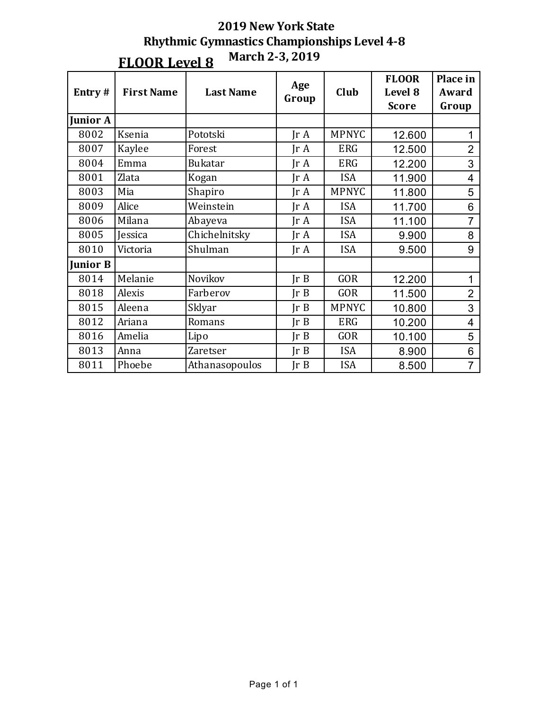| Entry#          | <b>First Name</b> | <b>Last Name</b> | Age<br>Group            | Club         | <b>FLOOR</b><br>Level 8<br><b>Score</b> | Place in<br>Award<br>Group |
|-----------------|-------------------|------------------|-------------------------|--------------|-----------------------------------------|----------------------------|
| <b>Junior A</b> |                   |                  |                         |              |                                         |                            |
| 8002            | Ksenia            | Pototski         | $\text{Tr }A$           | <b>MPNYC</b> | 12.600                                  |                            |
| 8007            | Kaylee            | Forest           | $\text{Tr }A$           | <b>ERG</b>   | 12.500                                  | $\overline{2}$             |
| 8004            | Emma              | <b>Bukatar</b>   | IrA                     | <b>ERG</b>   | 12.200                                  | 3                          |
| 8001            | Zlata             | Kogan            | $\text{Tr } \mathbf{A}$ | <b>ISA</b>   | 11.900                                  | $\overline{4}$             |
| 8003            | Mia               | Shapiro          | $\text{Tr }A$           | <b>MPNYC</b> | 11.800                                  | 5                          |
| 8009            | Alice             | Weinstein        | IrA                     | <b>ISA</b>   | 11.700                                  | 6                          |
| 8006            | Milana            | Abayeva          | IrA                     | <b>ISA</b>   | 11.100                                  | $\overline{7}$             |
| 8005            | <b>Jessica</b>    | Chichelnitsky    | $\text{Tr } \mathbf{A}$ | <b>ISA</b>   | 9.900                                   | 8                          |
| 8010            | Victoria          | Shulman          | $\text{Tr }A$           | <b>ISA</b>   | 9.500                                   | 9                          |
| <b>Junior B</b> |                   |                  |                         |              |                                         |                            |
| 8014            | Melanie           | Novikov          | Ir B                    | <b>GOR</b>   | 12.200                                  | 1                          |
| 8018            | Alexis            | Farberov         | Ir B                    | GOR          | 11.500                                  | $\overline{2}$             |
| 8015            | Aleena            | Sklyar           | Ir B                    | <b>MPNYC</b> | 10.800                                  | 3                          |
| 8012            | Ariana            | Romans           | Ir B                    | <b>ERG</b>   | 10.200                                  | 4                          |
| 8016            | Amelia            | Lipo             | Ir B                    | <b>GOR</b>   | 10.100                                  | 5                          |
| 8013            | Anna              | <b>Zaretser</b>  | Ir B                    | <b>ISA</b>   | 8.900                                   | 6                          |
| 8011            | Phoebe            | Athanasopoulos   | Ir B                    | <b>ISA</b>   | 8.500                                   | $\overline{7}$             |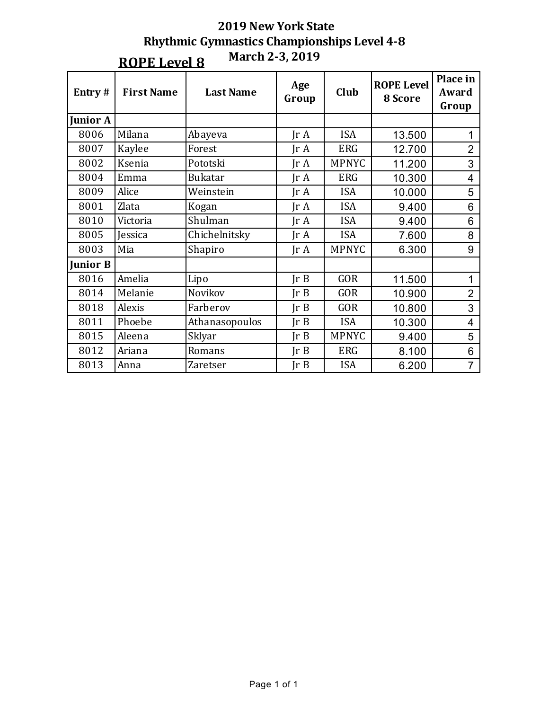| Entry#          | <b>First Name</b> | <b>Last Name</b> | Age<br>Group            | Club         | <b>ROPE Level</b><br>8 Score | Place in<br>Award<br>Group |
|-----------------|-------------------|------------------|-------------------------|--------------|------------------------------|----------------------------|
| <b>Junior A</b> |                   |                  |                         |              |                              |                            |
| 8006            | Milana            | Abayeva          | $\text{Tr }A$           | <b>ISA</b>   | 13.500                       | 1                          |
| 8007            | Kaylee            | Forest           | $\text{Tr } \mathbf{A}$ | <b>ERG</b>   | 12.700                       | $\overline{2}$             |
| 8002            | Ksenia            | Pototski         | IrA                     | <b>MPNYC</b> | 11.200                       | 3                          |
| 8004            | Emma              | <b>Bukatar</b>   | $\text{Tr } \mathbf{A}$ | <b>ERG</b>   | 10.300                       | $\overline{4}$             |
| 8009            | Alice             | Weinstein        | $\text{Tr }A$           | <b>ISA</b>   | 10.000                       | 5                          |
| 8001            | Zlata             | Kogan            | $\text{Tr } \mathbf{A}$ | <b>ISA</b>   | 9.400                        | 6                          |
| 8010            | Victoria          | Shulman          | IrA                     | <b>ISA</b>   | 9.400                        | 6                          |
| 8005            | Jessica           | Chichelnitsky    | $\text{Tr }A$           | <b>ISA</b>   | 7.600                        | 8                          |
| 8003            | Mia               | Shapiro          | IrA                     | <b>MPNYC</b> | 6.300                        | 9                          |
| <b>Junior B</b> |                   |                  |                         |              |                              |                            |
| 8016            | Amelia            | Lipo             | Ir B                    | <b>GOR</b>   | 11.500                       | 1                          |
| 8014            | Melanie           | Novikov          | Ir B                    | <b>GOR</b>   | 10.900                       | $\overline{2}$             |
| 8018            | Alexis            | Farberov         | $\text{Tr } B$          | <b>GOR</b>   | 10.800                       | 3                          |
| 8011            | Phoebe            | Athanasopoulos   | $\text{Tr } B$          | <b>ISA</b>   | 10.300                       | 4                          |
| 8015            | Aleena            | Sklyar           | $\text{Tr } B$          | <b>MPNYC</b> | 9.400                        | 5                          |
| 8012            | Ariana            | Romans           | JrB                     | <b>ERG</b>   | 8.100                        | 6                          |
| 8013            | Anna              | Zaretser         | JrB                     | <b>ISA</b>   | 6.200                        | $\overline{7}$             |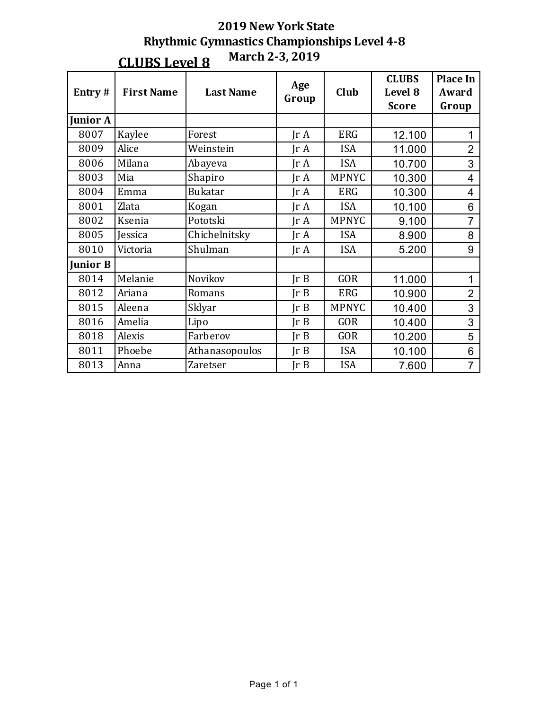| Entry#          | <b>First Name</b> | <b>Last Name</b> | Age<br>Group            | Club         | <b>CLUBS</b><br>Level 8<br><b>Score</b> | <b>Place In</b><br>Award<br>Group |
|-----------------|-------------------|------------------|-------------------------|--------------|-----------------------------------------|-----------------------------------|
| <b>Junior A</b> |                   |                  |                         |              |                                         |                                   |
| 8007            | Kaylee            | Forest           | $\text{Tr } \mathbf{A}$ | <b>ERG</b>   | 12.100                                  | 1                                 |
| 8009            | Alice             | Weinstein        | $\text{Tr }A$           | <b>ISA</b>   | 11.000                                  | $\overline{2}$                    |
| 8006            | Milana            | Abayeva          | $\text{Tr }A$           | <b>ISA</b>   | 10.700                                  | 3                                 |
| 8003            | Mia               | Shapiro          | IrA                     | <b>MPNYC</b> | 10.300                                  | 4                                 |
| 8004            | Emma              | <b>Bukatar</b>   | $\text{Tr }A$           | <b>ERG</b>   | 10.300                                  | 4                                 |
| 8001            | Zlata             | Kogan            | $\text{Tr }A$           | <b>ISA</b>   | 10.100                                  | 6                                 |
| 8002            | Ksenia            | Pototski         | IrA                     | <b>MPNYC</b> | 9.100                                   | $\overline{7}$                    |
| 8005            | <b>Jessica</b>    | Chichelnitsky    | Ir A                    | <b>ISA</b>   | 8.900                                   | 8                                 |
| 8010            | Victoria          | Shulman          | $\text{Tr } \mathbf{A}$ | <b>ISA</b>   | 5.200                                   | 9                                 |
| <b>Junior B</b> |                   |                  |                         |              |                                         |                                   |
| 8014            | Melanie           | Novikov          | Ir B                    | <b>GOR</b>   | 11.000                                  | 1                                 |
| 8012            | Ariana            | Romans           | JrB                     | <b>ERG</b>   | 10.900                                  | $\overline{2}$                    |
| 8015            | Aleena            | Sklyar           | Ir B                    | <b>MPNYC</b> | 10.400                                  | 3                                 |
| 8016            | Amelia            | Lipo             | Ir B                    | <b>GOR</b>   | 10.400                                  | 3                                 |
| 8018            | Alexis            | Farberov         | $\text{Tr } B$          | <b>GOR</b>   | 10.200                                  | 5                                 |
| 8011            | Phoebe            | Athanasopoulos   | JrB                     | <b>ISA</b>   | 10.100                                  | 6                                 |
| 8013            | Anna              | Zaretser         | Ir B                    | <b>ISA</b>   | 7.600                                   | $\overline{7}$                    |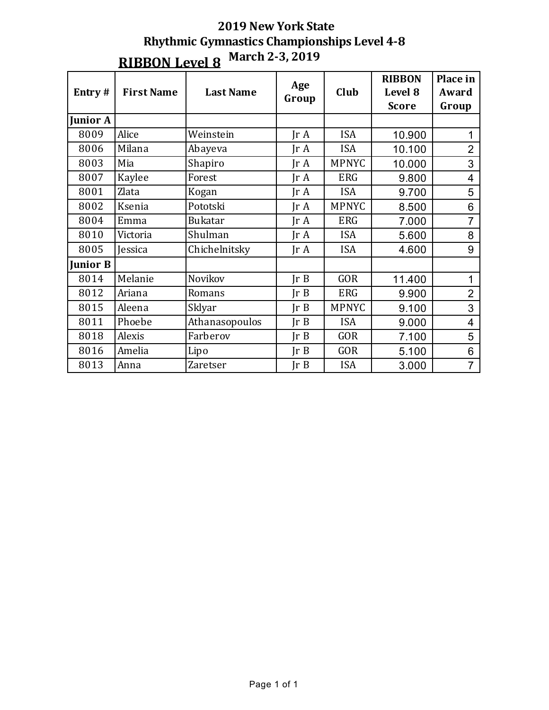## **2019 New York State Rhythmic Gymnastics Championships Level 4-8 RIBBON Level 8** March 2-3, 2019

| Entry#          | <b>First Name</b> | <b>Last Name</b> | Age<br>Group            | Club         | <b>RIBBON</b><br>Level 8<br><b>Score</b> | Place in<br>Award<br>Group |
|-----------------|-------------------|------------------|-------------------------|--------------|------------------------------------------|----------------------------|
| <b>Junior A</b> |                   |                  |                         |              |                                          |                            |
| 8009            | Alice             | Weinstein        | $\text{Tr } \mathbf{A}$ | <b>ISA</b>   | 10.900                                   |                            |
| 8006            | Milana            | Abayeva          | $\text{Tr }A$           | <b>ISA</b>   | 10.100                                   | $\overline{2}$             |
| 8003            | Mia               | Shapiro          | $\text{Tr }A$           | <b>MPNYC</b> | 10.000                                   | 3                          |
| 8007            | Kaylee            | Forest           | IrA                     | <b>ERG</b>   | 9.800                                    | 4                          |
| 8001            | Zlata             | Kogan            | $\text{Tr }A$           | <b>ISA</b>   | 9.700                                    | 5                          |
| 8002            | Ksenia            | Pototski         | IrA                     | <b>MPNYC</b> | 8.500                                    | 6                          |
| 8004            | Emma              | <b>Bukatar</b>   | $\text{Tr }A$           | <b>ERG</b>   | 7.000                                    | $\overline{7}$             |
| 8010            | Victoria          | Shulman          | IrA                     | <b>ISA</b>   | 5.600                                    | 8                          |
| 8005            | Jessica           | Chichelnitsky    | $\text{Tr }A$           | <b>ISA</b>   | 4.600                                    | 9                          |
| <b>Junior B</b> |                   |                  |                         |              |                                          |                            |
| 8014            | Melanie           | Novikov          | Ir B                    | <b>GOR</b>   | 11.400                                   | 1                          |
| 8012            | Ariana            | Romans           | Ir B                    | <b>ERG</b>   | 9.900                                    | $\overline{2}$             |
| 8015            | Aleena            | Sklyar           | $\text{Tr } B$          | <b>MPNYC</b> | 9.100                                    | 3                          |
| 8011            | Phoebe            | Athanasopoulos   | Ir B                    | <b>ISA</b>   | 9.000                                    | $\overline{4}$             |
| 8018            | Alexis            | Farberov         | Ir B                    | <b>GOR</b>   | 7.100                                    | 5                          |
| 8016            | Amelia            | Lipo             | JrB                     | <b>GOR</b>   | 5.100                                    | 6                          |
| 8013            | Anna              | Zaretser         | Ir B                    | <b>ISA</b>   | 3.000                                    | $\overline{7}$             |